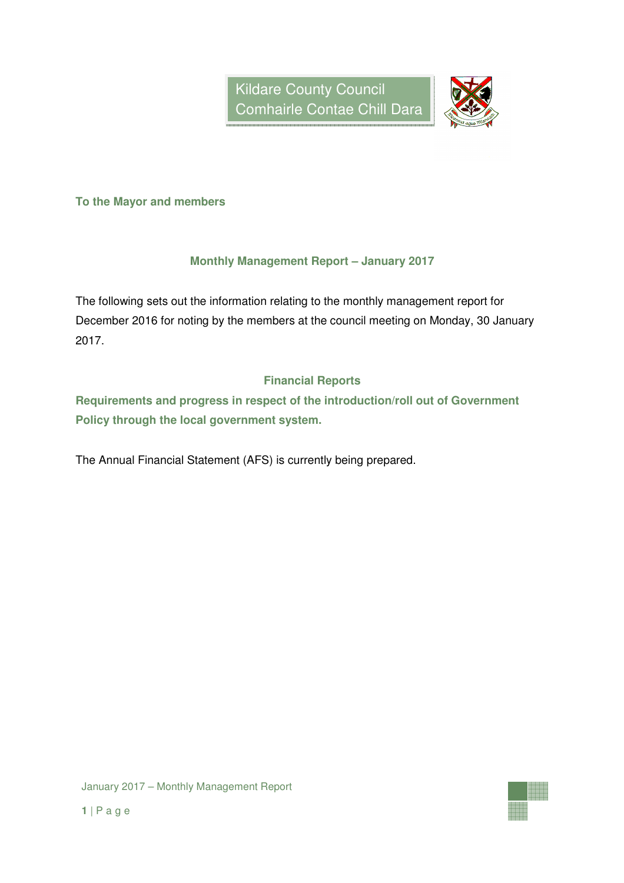

**To the Mayor and members** 

## **Monthly Management Report – January 2017**

The following sets out the information relating to the monthly management report for December 2016 for noting by the members at the council meeting on Monday, 30 January 2017.

## **Financial Reports**

**Requirements and progress in respect of the introduction/roll out of Government Policy through the local government system.** 

The Annual Financial Statement (AFS) is currently being prepared.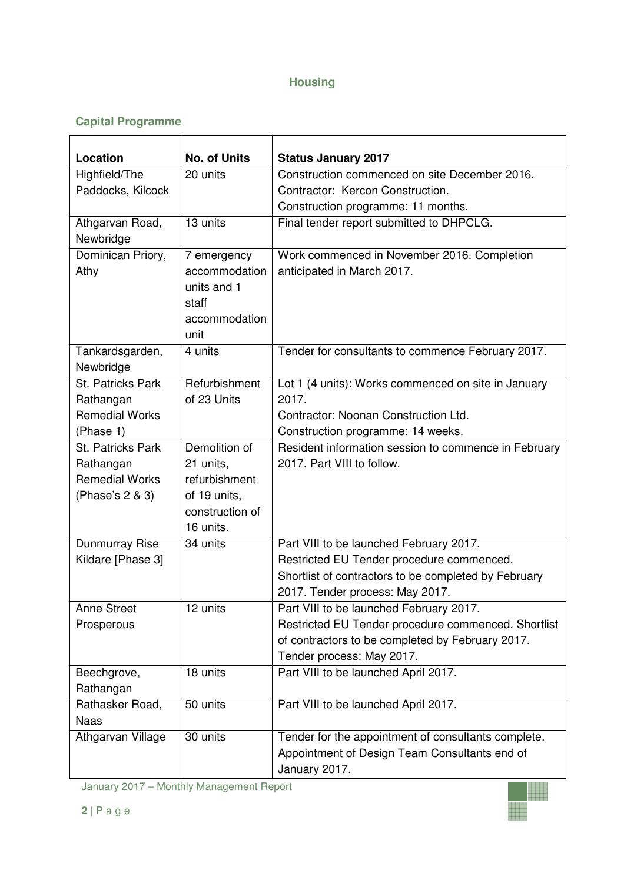## **Housing**

# **Capital Programme**

| Location                                                             | <b>No. of Units</b>                                                           | <b>Status January 2017</b>                                                                                                                |
|----------------------------------------------------------------------|-------------------------------------------------------------------------------|-------------------------------------------------------------------------------------------------------------------------------------------|
| Highfield/The                                                        | 20 units                                                                      | Construction commenced on site December 2016.                                                                                             |
| Paddocks, Kilcock                                                    |                                                                               | Contractor: Kercon Construction.                                                                                                          |
|                                                                      |                                                                               | Construction programme: 11 months.                                                                                                        |
| Athgarvan Road,<br>Newbridge                                         | 13 units                                                                      | Final tender report submitted to DHPCLG.                                                                                                  |
| Dominican Priory,<br>Athy                                            | 7 emergency<br>accommodation<br>units and 1<br>staff<br>accommodation<br>unit | Work commenced in November 2016. Completion<br>anticipated in March 2017.                                                                 |
| Tankardsgarden,<br>Newbridge                                         | 4 units                                                                       | Tender for consultants to commence February 2017.                                                                                         |
| St. Patricks Park<br>Rathangan<br><b>Remedial Works</b><br>(Phase 1) | Refurbishment<br>of 23 Units                                                  | Lot 1 (4 units): Works commenced on site in January<br>2017.<br>Contractor: Noonan Construction Ltd.<br>Construction programme: 14 weeks. |
| St. Patricks Park                                                    | Demolition of                                                                 | Resident information session to commence in February                                                                                      |
| Rathangan                                                            | 21 units,                                                                     | 2017. Part VIII to follow.                                                                                                                |
| <b>Remedial Works</b>                                                | refurbishment                                                                 |                                                                                                                                           |
| (Phase's 2 & 3)                                                      | of 19 units,                                                                  |                                                                                                                                           |
|                                                                      | construction of<br>16 units.                                                  |                                                                                                                                           |
| Dunmurray Rise                                                       | 34 units                                                                      | Part VIII to be launched February 2017.                                                                                                   |
| Kildare [Phase 3]                                                    |                                                                               | Restricted EU Tender procedure commenced.                                                                                                 |
|                                                                      |                                                                               | Shortlist of contractors to be completed by February                                                                                      |
|                                                                      |                                                                               | 2017. Tender process: May 2017.                                                                                                           |
| <b>Anne Street</b>                                                   | $\overline{12}$ units                                                         | Part VIII to be launched February 2017.                                                                                                   |
| Prosperous                                                           |                                                                               | Restricted EU Tender procedure commenced. Shortlist                                                                                       |
|                                                                      |                                                                               | of contractors to be completed by February 2017.                                                                                          |
|                                                                      |                                                                               | Tender process: May 2017.                                                                                                                 |
| Beechgrove,                                                          | 18 units                                                                      | Part VIII to be launched April 2017.                                                                                                      |
| Rathangan                                                            |                                                                               |                                                                                                                                           |
| Rathasker Road,<br><b>Naas</b>                                       | 50 units                                                                      | Part VIII to be launched April 2017.                                                                                                      |
| Athgarvan Village                                                    | 30 units                                                                      | Tender for the appointment of consultants complete.<br>Appointment of Design Team Consultants end of<br>January 2017.                     |

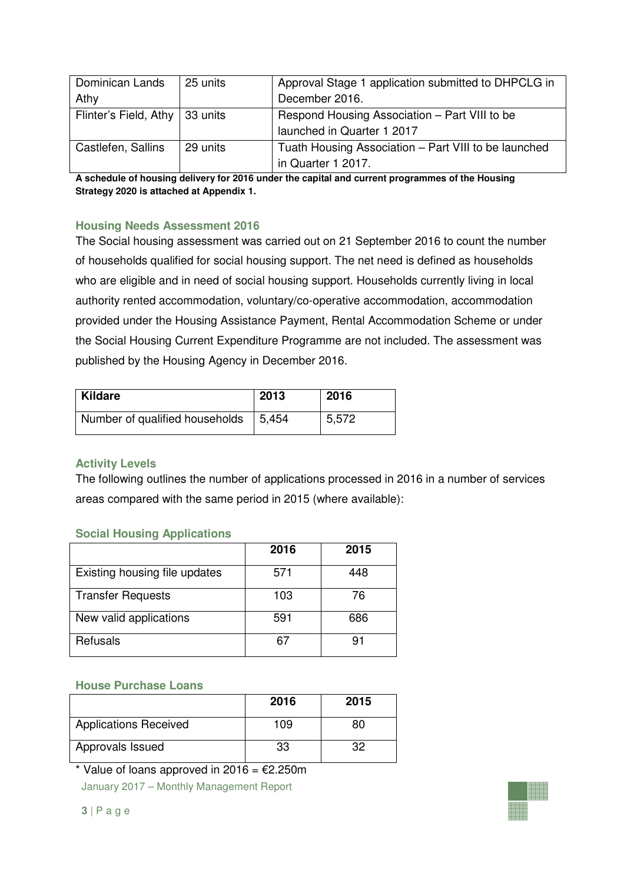| Dominican Lands       | 25 units | Approval Stage 1 application submitted to DHPCLG in  |
|-----------------------|----------|------------------------------------------------------|
| Athy                  |          | December 2016.                                       |
| Flinter's Field, Athy | 33 units | Respond Housing Association - Part VIII to be        |
|                       |          | launched in Quarter 1 2017                           |
| Castlefen, Sallins    | 29 units | Tuath Housing Association - Part VIII to be launched |
|                       |          | in Quarter 1 2017.                                   |

**A schedule of housing delivery for 2016 under the capital and current programmes of the Housing Strategy 2020 is attached at Appendix 1.** 

## **Housing Needs Assessment 2016**

The Social housing assessment was carried out on 21 September 2016 to count the number of households qualified for social housing support. The net need is defined as households who are eligible and in need of social housing support. Households currently living in local authority rented accommodation, voluntary/co-operative accommodation, accommodation provided under the Housing Assistance Payment, Rental Accommodation Scheme or under the Social Housing Current Expenditure Programme are not included. The assessment was published by the Housing Agency in December 2016.

| Kildare                        | 2013   | 2016  |
|--------------------------------|--------|-------|
| Number of qualified households | 15,454 | 5,572 |

#### **Activity Levels**

The following outlines the number of applications processed in 2016 in a number of services areas compared with the same period in 2015 (where available):

## **Social Housing Applications**

|                               | 2016 | 2015 |
|-------------------------------|------|------|
| Existing housing file updates | 571  | 448  |
| <b>Transfer Requests</b>      | 103  | 76   |
| New valid applications        | 591  | 686  |
| Refusals                      | 67   | 91   |

#### **House Purchase Loans**

|                              | 2016 | 2015 |
|------------------------------|------|------|
| <b>Applications Received</b> | 109  | 80   |
| Approvals Issued             | 33   |      |

January 2017 – Monthly Management Report \* Value of loans approved in 2016 =  $E2.250m$ 

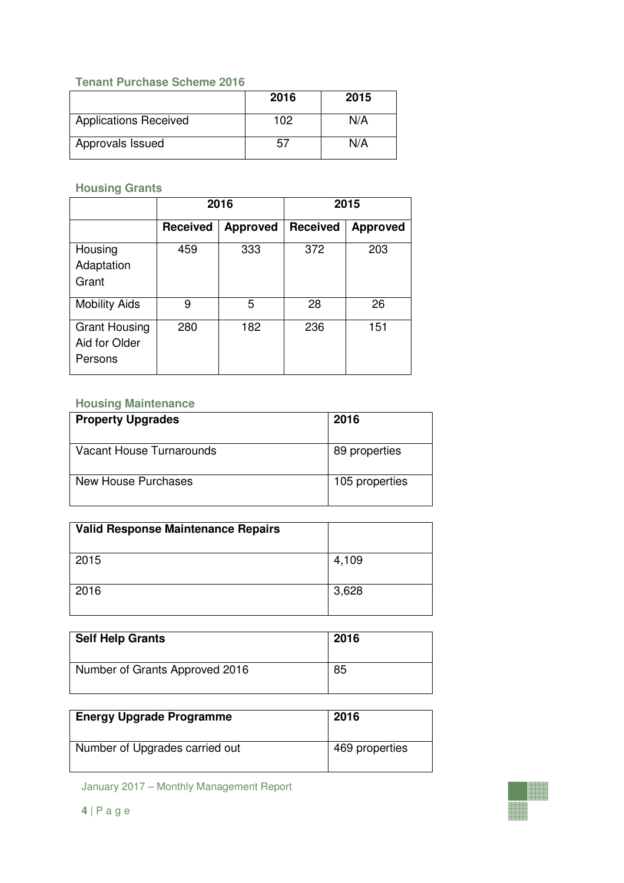## **Tenant Purchase Scheme 2016**

|                              | 2016 | 2015 |
|------------------------------|------|------|
| <b>Applications Received</b> | 102  | N/A  |
| Approvals Issued             | b.   | N/A  |

## **Housing Grants**

|                                                  | 2016            |                 | 2015            |                 |
|--------------------------------------------------|-----------------|-----------------|-----------------|-----------------|
|                                                  | <b>Received</b> | <b>Approved</b> | <b>Received</b> | <b>Approved</b> |
| Housing<br>Adaptation<br>Grant                   | 459             | 333             | 372             | 203             |
| <b>Mobility Aids</b>                             | 9               | 5               | 28              | 26              |
| <b>Grant Housing</b><br>Aid for Older<br>Persons | 280             | 182             | 236             | 151             |

## **Housing Maintenance**

| <b>Property Upgrades</b> | 2016           |
|--------------------------|----------------|
| Vacant House Turnarounds | 89 properties  |
| New House Purchases      | 105 properties |

| <b>Valid Response Maintenance Repairs</b> |       |
|-------------------------------------------|-------|
| 2015                                      | 4,109 |
| 2016                                      | 3,628 |

| <b>Self Help Grants</b>        | 2016 |  |
|--------------------------------|------|--|
| Number of Grants Approved 2016 | 85   |  |

| <b>Energy Upgrade Programme</b> | 2016           |
|---------------------------------|----------------|
| Number of Upgrades carried out  | 469 properties |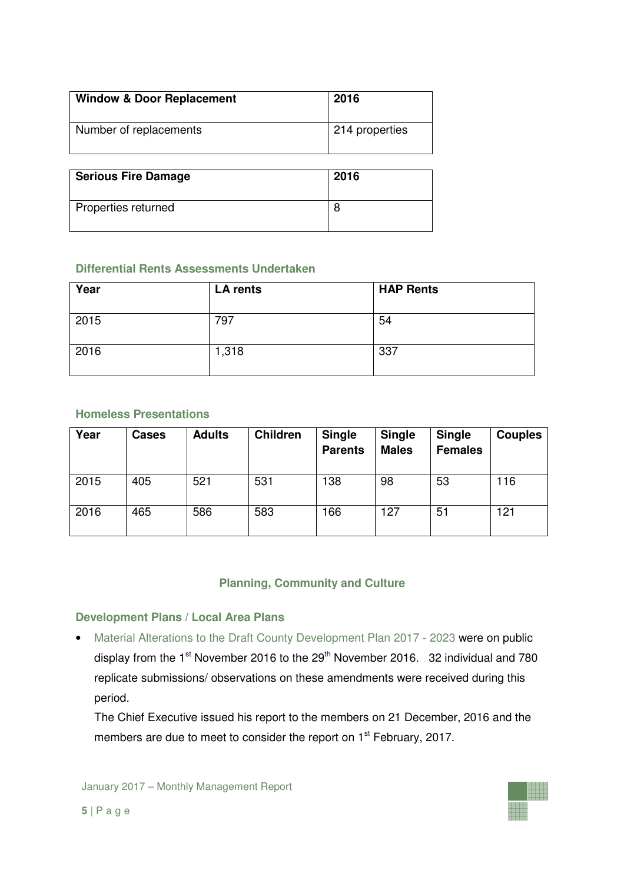| <b>Window &amp; Door Replacement</b> | 2016           |
|--------------------------------------|----------------|
| Number of replacements               | 214 properties |
|                                      |                |
| <b>Serious Fire Damage</b>           | 2016           |
| Properties returned                  | 8              |

#### **Differential Rents Assessments Undertaken**

| Year | LA rents | <b>HAP Rents</b> |
|------|----------|------------------|
| 2015 | 797      | 54               |
| 2016 | 1,318    | 337              |

## **Homeless Presentations**

| Year | <b>Cases</b> | <b>Adults</b> | <b>Children</b> | <b>Single</b><br><b>Parents</b> | <b>Single</b><br><b>Males</b> | <b>Single</b><br><b>Females</b> | <b>Couples</b> |
|------|--------------|---------------|-----------------|---------------------------------|-------------------------------|---------------------------------|----------------|
| 2015 | 405          | 521           | 531             | 138                             | 98                            | 53                              | 116            |
| 2016 | 465          | 586           | 583             | 166                             | 127                           | 51                              | 121            |

## **Planning, Community and Culture**

## **Development Plans / Local Area Plans**

• Material Alterations to the Draft County Development Plan 2017 - 2023 were on public display from the  $1<sup>st</sup>$  November 2016 to the  $29<sup>th</sup>$  November 2016. 32 individual and 780 replicate submissions/ observations on these amendments were received during this period.

 The Chief Executive issued his report to the members on 21 December, 2016 and the members are due to meet to consider the report on 1<sup>st</sup> February, 2017.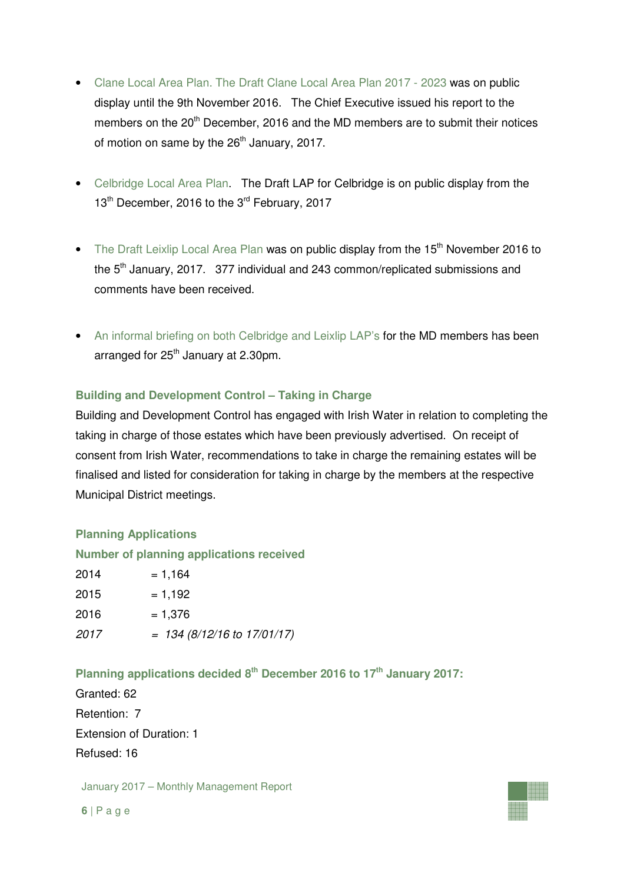- Clane Local Area Plan. The Draft Clane Local Area Plan 2017 2023 was on public display until the 9th November 2016. The Chief Executive issued his report to the members on the 20<sup>th</sup> December, 2016 and the MD members are to submit their notices of motion on same by the  $26<sup>th</sup>$  January, 2017.
- Celbridge Local Area Plan. The Draft LAP for Celbridge is on public display from the 13<sup>th</sup> December, 2016 to the 3<sup>rd</sup> February, 2017
- The Draft Leixlip Local Area Plan was on public display from the 15<sup>th</sup> November 2016 to the 5<sup>th</sup> January, 2017. 377 individual and 243 common/replicated submissions and comments have been received.
- An informal briefing on both Celbridge and Leixlip LAP's for the MD members has been arranged for  $25<sup>th</sup>$  January at 2.30pm.

## **Building and Development Control – Taking in Charge**

Building and Development Control has engaged with Irish Water in relation to completing the taking in charge of those estates which have been previously advertised. On receipt of consent from Irish Water, recommendations to take in charge the remaining estates will be finalised and listed for consideration for taking in charge by the members at the respective Municipal District meetings.

## **Planning Applications**

#### **Number of planning applications received**

| 2014 | $= 1,164$                       |
|------|---------------------------------|
| 2015 | $= 1,192$                       |
| 2016 | $= 1,376$                       |
| 2017 | $= 134 (8/12/16$ to $17/01/17)$ |

## **Planning applications decided 8th December 2016 to 17th January 2017:**

Granted: 62 Retention: 7 Extension of Duration: 1 Refused: 16

January 2017 – Monthly Management Report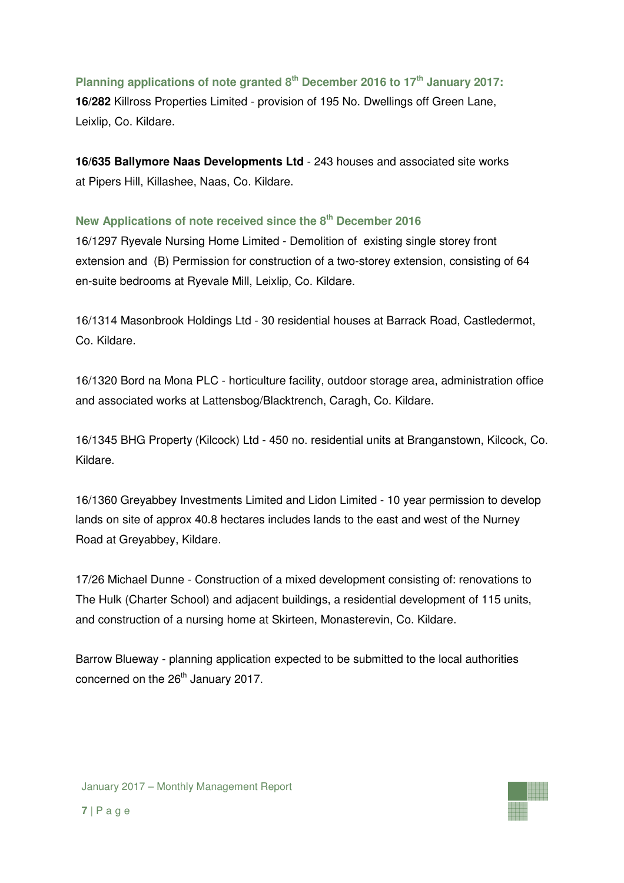## **Planning applications of note granted 8th December 2016 to 17th January 2017:**

**16/282** Killross Properties Limited - provision of 195 No. Dwellings off Green Lane, Leixlip, Co. Kildare.

**16/635 Ballymore Naas Developments Ltd** - 243 houses and associated site works at Pipers Hill, Killashee, Naas, Co. Kildare.

#### **New Applications of note received since the 8th December 2016**

16/1297 Ryevale Nursing Home Limited - Demolition of existing single storey front extension and (B) Permission for construction of a two-storey extension, consisting of 64 en-suite bedrooms at Ryevale Mill, Leixlip, Co. Kildare.

16/1314 Masonbrook Holdings Ltd - 30 residential houses at Barrack Road, Castledermot, Co. Kildare.

16/1320 Bord na Mona PLC - horticulture facility, outdoor storage area, administration office and associated works at Lattensbog/Blacktrench, Caragh, Co. Kildare.

16/1345 BHG Property (Kilcock) Ltd - 450 no. residential units at Branganstown, Kilcock, Co. Kildare.

16/1360 Greyabbey Investments Limited and Lidon Limited - 10 year permission to develop lands on site of approx 40.8 hectares includes lands to the east and west of the Nurney Road at Greyabbey, Kildare.

17/26 Michael Dunne - Construction of a mixed development consisting of: renovations to The Hulk (Charter School) and adjacent buildings, a residential development of 115 units, and construction of a nursing home at Skirteen, Monasterevin, Co. Kildare.

Barrow Blueway - planning application expected to be submitted to the local authorities concerned on the 26<sup>th</sup> January 2017.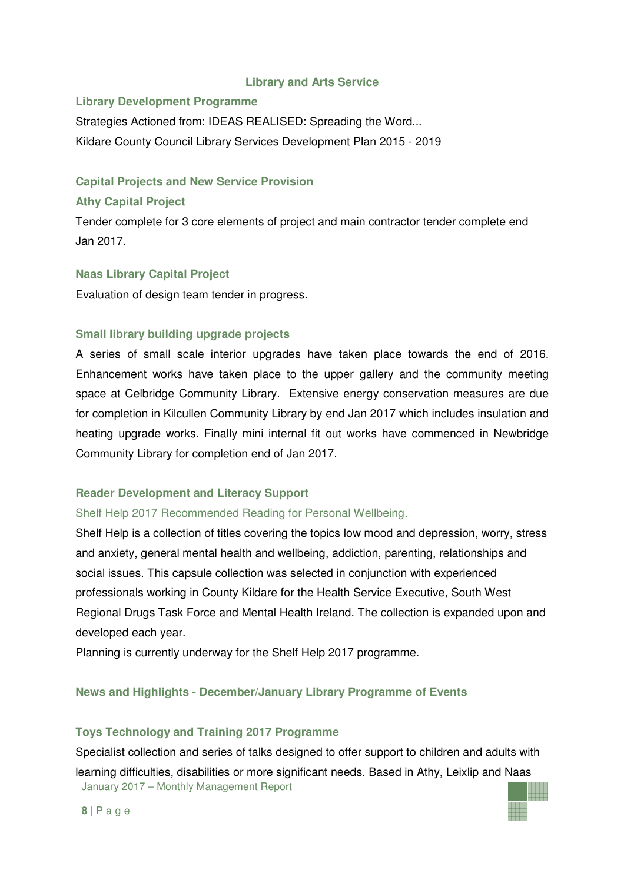#### **Library and Arts Service**

## **Library Development Programme**

Strategies Actioned from: IDEAS REALISED: Spreading the Word... Kildare County Council Library Services Development Plan 2015 - 2019

## **Capital Projects and New Service Provision**

## **Athy Capital Project**

Tender complete for 3 core elements of project and main contractor tender complete end Jan 2017.

## **Naas Library Capital Project**

Evaluation of design team tender in progress.

## **Small library building upgrade projects**

A series of small scale interior upgrades have taken place towards the end of 2016. Enhancement works have taken place to the upper gallery and the community meeting space at Celbridge Community Library. Extensive energy conservation measures are due for completion in Kilcullen Community Library by end Jan 2017 which includes insulation and heating upgrade works. Finally mini internal fit out works have commenced in Newbridge Community Library for completion end of Jan 2017.

## **Reader Development and Literacy Support**

#### Shelf Help 2017 Recommended Reading for Personal Wellbeing.

Shelf Help is a collection of titles covering the topics low mood and depression, worry, stress and anxiety, general mental health and wellbeing, addiction, parenting, relationships and social issues. This capsule collection was selected in conjunction with experienced professionals working in County Kildare for the Health Service Executive, South West Regional Drugs Task Force and Mental Health Ireland. The collection is expanded upon and developed each year.

Planning is currently underway for the Shelf Help 2017 programme.

## **News and Highlights - December/January Library Programme of Events**

## **Toys Technology and Training 2017 Programme**

January 2017 – Monthly Management Report Specialist collection and series of talks designed to offer support to children and adults with learning difficulties, disabilities or more significant needs. Based in Athy, Leixlip and Naas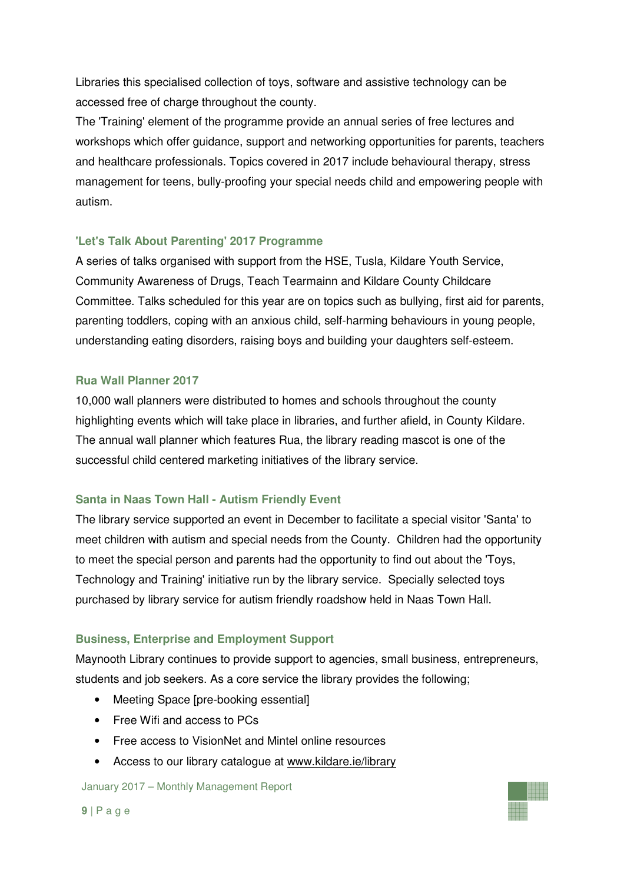Libraries this specialised collection of toys, software and assistive technology can be accessed free of charge throughout the county.

The 'Training' element of the programme provide an annual series of free lectures and workshops which offer guidance, support and networking opportunities for parents, teachers and healthcare professionals. Topics covered in 2017 include behavioural therapy, stress management for teens, bully-proofing your special needs child and empowering people with autism.

## **'Let's Talk About Parenting' 2017 Programme**

A series of talks organised with support from the HSE, Tusla, Kildare Youth Service, Community Awareness of Drugs, Teach Tearmainn and Kildare County Childcare Committee. Talks scheduled for this year are on topics such as bullying, first aid for parents, parenting toddlers, coping with an anxious child, self-harming behaviours in young people, understanding eating disorders, raising boys and building your daughters self-esteem.

## **Rua Wall Planner 2017**

10,000 wall planners were distributed to homes and schools throughout the county highlighting events which will take place in libraries, and further afield, in County Kildare. The annual wall planner which features Rua, the library reading mascot is one of the successful child centered marketing initiatives of the library service.

## **Santa in Naas Town Hall - Autism Friendly Event**

The library service supported an event in December to facilitate a special visitor 'Santa' to meet children with autism and special needs from the County. Children had the opportunity to meet the special person and parents had the opportunity to find out about the 'Toys, Technology and Training' initiative run by the library service. Specially selected toys purchased by library service for autism friendly roadshow held in Naas Town Hall.

## **Business, Enterprise and Employment Support**

Maynooth Library continues to provide support to agencies, small business, entrepreneurs, students and job seekers. As a core service the library provides the following;

- Meeting Space [pre-booking essential]
- Free Wifi and access to PCs
- Free access to VisionNet and Mintel online resources
- Access to our library catalogue at www.kildare.ie/library

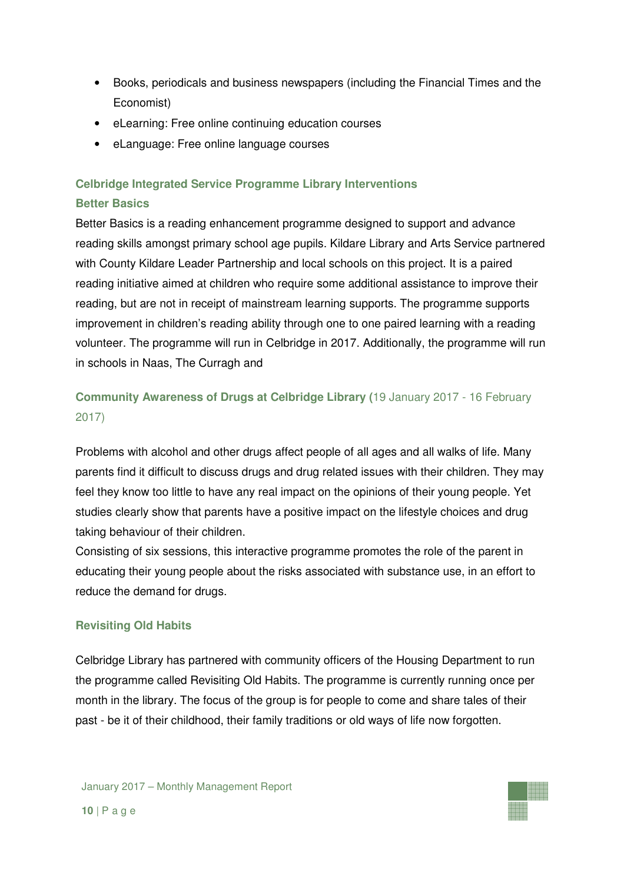- Books, periodicals and business newspapers (including the Financial Times and the Economist)
- eLearning: Free online continuing education courses
- eLanguage: Free online language courses

## **Celbridge Integrated Service Programme Library Interventions Better Basics**

Better Basics is a reading enhancement programme designed to support and advance reading skills amongst primary school age pupils. Kildare Library and Arts Service partnered with County Kildare Leader Partnership and local schools on this project. It is a paired reading initiative aimed at children who require some additional assistance to improve their reading, but are not in receipt of mainstream learning supports. The programme supports improvement in children's reading ability through one to one paired learning with a reading volunteer. The programme will run in Celbridge in 2017. Additionally, the programme will run in schools in Naas, The Curragh and

## **Community Awareness of Drugs at Celbridge Library (**19 January 2017 - 16 February 2017)

Problems with alcohol and other drugs affect people of all ages and all walks of life. Many parents find it difficult to discuss drugs and drug related issues with their children. They may feel they know too little to have any real impact on the opinions of their young people. Yet studies clearly show that parents have a positive impact on the lifestyle choices and drug taking behaviour of their children.

Consisting of six sessions, this interactive programme promotes the role of the parent in educating their young people about the risks associated with substance use, in an effort to reduce the demand for drugs.

## **Revisiting Old Habits**

Celbridge Library has partnered with community officers of the Housing Department to run the programme called Revisiting Old Habits. The programme is currently running once per month in the library. The focus of the group is for people to come and share tales of their past - be it of their childhood, their family traditions or old ways of life now forgotten.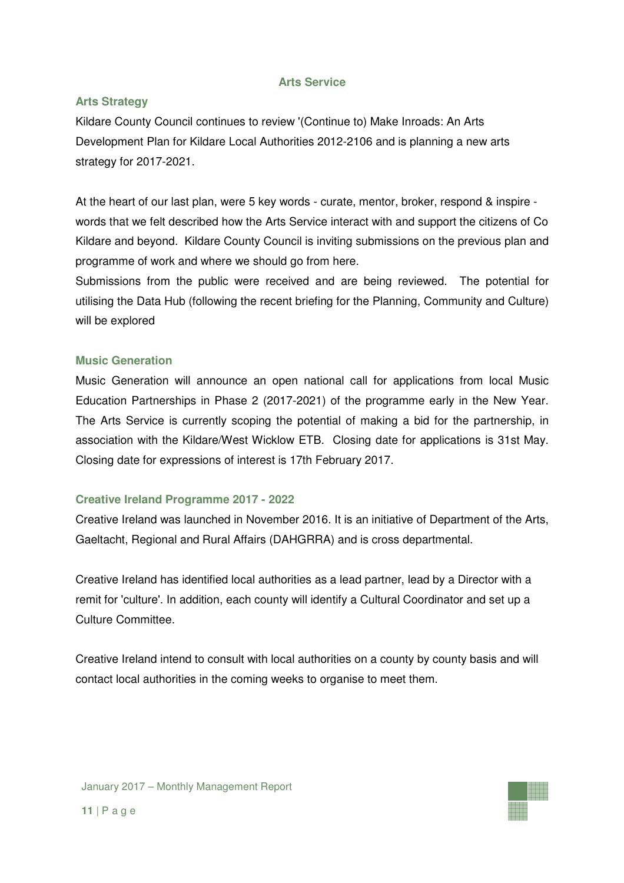#### **Arts Service**

### **Arts Strategy**

Kildare County Council continues to review '(Continue to) Make Inroads: An Arts Development Plan for Kildare Local Authorities 2012-2106 and is planning a new arts strategy for 2017-2021.

At the heart of our last plan, were 5 key words - curate, mentor, broker, respond & inspire words that we felt described how the Arts Service interact with and support the citizens of Co Kildare and beyond. Kildare County Council is inviting submissions on the previous plan and programme of work and where we should go from here.

Submissions from the public were received and are being reviewed. The potential for utilising the Data Hub (following the recent briefing for the Planning, Community and Culture) will be explored

#### **Music Generation**

Music Generation will announce an open national call for applications from local Music Education Partnerships in Phase 2 (2017-2021) of the programme early in the New Year. The Arts Service is currently scoping the potential of making a bid for the partnership, in association with the Kildare/West Wicklow ETB. Closing date for applications is 31st May. Closing date for expressions of interest is 17th February 2017.

#### **Creative Ireland Programme 2017 - 2022**

Creative Ireland was launched in November 2016. It is an initiative of Department of the Arts, Gaeltacht, Regional and Rural Affairs (DAHGRRA) and is cross departmental.

Creative Ireland has identified local authorities as a lead partner, lead by a Director with a remit for 'culture'. In addition, each county will identify a Cultural Coordinator and set up a Culture Committee.

Creative Ireland intend to consult with local authorities on a county by county basis and will contact local authorities in the coming weeks to organise to meet them.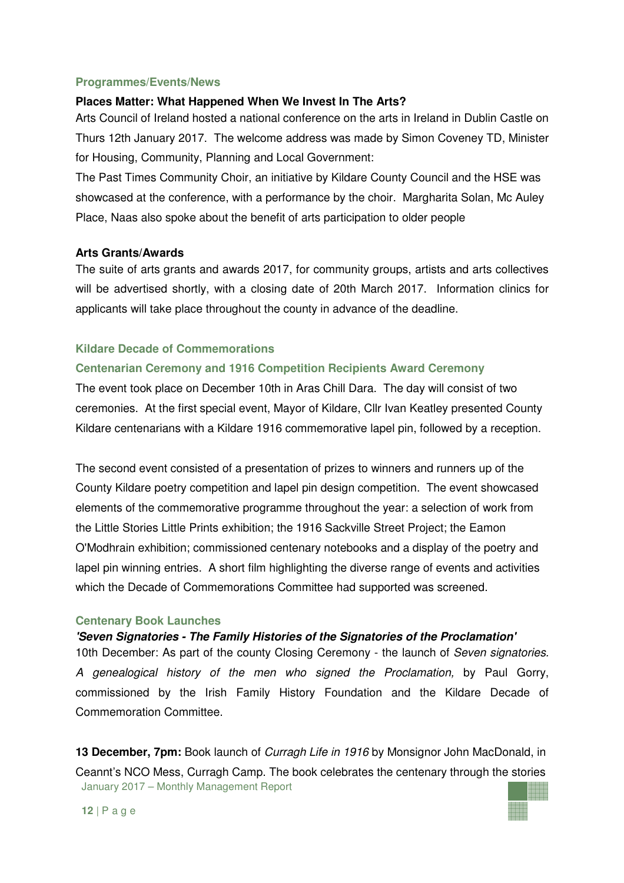#### **Programmes/Events/News**

#### **Places Matter: What Happened When We Invest In The Arts?**

Arts Council of Ireland hosted a national conference on the arts in Ireland in Dublin Castle on Thurs 12th January 2017. The welcome address was made by Simon Coveney TD, Minister for Housing, Community, Planning and Local Government:

The Past Times Community Choir, an initiative by Kildare County Council and the HSE was showcased at the conference, with a performance by the choir. Margharita Solan, Mc Auley Place, Naas also spoke about the benefit of arts participation to older people

#### **Arts Grants/Awards**

The suite of arts grants and awards 2017, for community groups, artists and arts collectives will be advertised shortly, with a closing date of 20th March 2017. Information clinics for applicants will take place throughout the county in advance of the deadline.

#### **Kildare Decade of Commemorations**

#### **Centenarian Ceremony and 1916 Competition Recipients Award Ceremony**

The event took place on December 10th in Aras Chill Dara. The day will consist of two ceremonies. At the first special event, Mayor of Kildare, Cllr Ivan Keatley presented County Kildare centenarians with a Kildare 1916 commemorative lapel pin, followed by a reception.

The second event consisted of a presentation of prizes to winners and runners up of the County Kildare poetry competition and lapel pin design competition. The event showcased elements of the commemorative programme throughout the year: a selection of work from the Little Stories Little Prints exhibition; the 1916 Sackville Street Project; the Eamon O'Modhrain exhibition; commissioned centenary notebooks and a display of the poetry and lapel pin winning entries. A short film highlighting the diverse range of events and activities which the Decade of Commemorations Committee had supported was screened.

#### **Centenary Book Launches**

#### **'Seven Signatories - The Family Histories of the Signatories of the Proclamation'**

10th December: As part of the county Closing Ceremony - the launch of Seven signatories. A genealogical history of the men who signed the Proclamation, by Paul Gorry, commissioned by the Irish Family History Foundation and the Kildare Decade of Commemoration Committee.

January 2017 – Monthly Management Report **13 December, 7pm:** Book launch of Curragh Life in 1916 by Monsignor John MacDonald, in Ceannt's NCO Mess, Curragh Camp. The book celebrates the centenary through the stories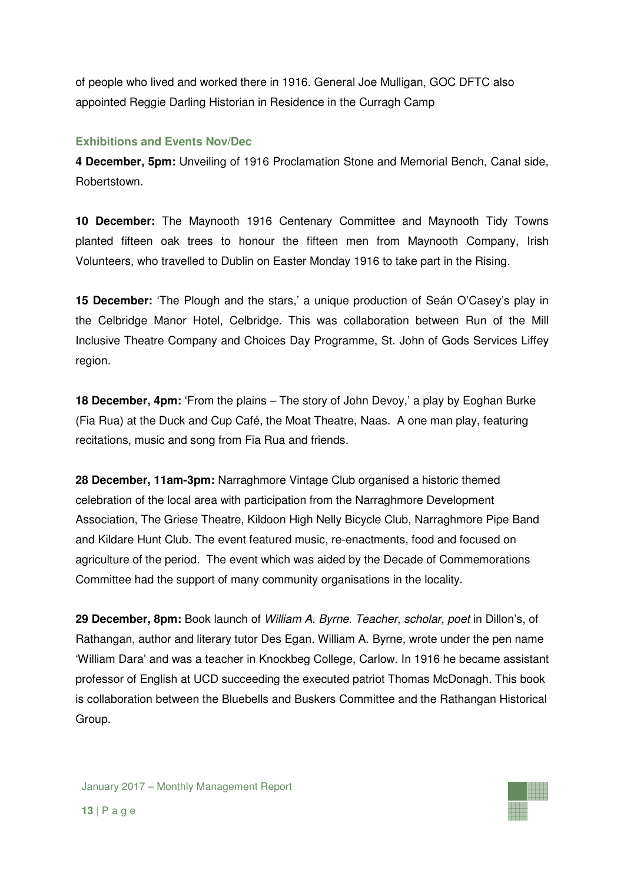of people who lived and worked there in 1916. General Joe Mulligan, GOC DFTC also appointed Reggie Darling Historian in Residence in the Curragh Camp

## **Exhibitions and Events Nov/Dec**

**4 December, 5pm:** Unveiling of 1916 Proclamation Stone and Memorial Bench, Canal side, Robertstown.

**10 December:** The Maynooth 1916 Centenary Committee and Maynooth Tidy Towns planted fifteen oak trees to honour the fifteen men from Maynooth Company, Irish Volunteers, who travelled to Dublin on Easter Monday 1916 to take part in the Rising.

**15 December:** 'The Plough and the stars,' a unique production of Seán O'Casey's play in the Celbridge Manor Hotel, Celbridge. This was collaboration between Run of the Mill Inclusive Theatre Company and Choices Day Programme, St. John of Gods Services Liffey region.

**18 December, 4pm:** 'From the plains – The story of John Devoy,' a play by Eoghan Burke (Fia Rua) at the Duck and Cup Café, the Moat Theatre, Naas. A one man play, featuring recitations, music and song from Fia Rua and friends.

**28 December, 11am-3pm:** Narraghmore Vintage Club organised a historic themed celebration of the local area with participation from the Narraghmore Development Association, The Griese Theatre, Kildoon High Nelly Bicycle Club, Narraghmore Pipe Band and Kildare Hunt Club. The event featured music, re-enactments, food and focused on agriculture of the period. The event which was aided by the Decade of Commemorations Committee had the support of many community organisations in the locality.

**29 December, 8pm:** Book launch of William A. Byrne. Teacher, scholar, poet in Dillon's, of Rathangan, author and literary tutor Des Egan. William A. Byrne, wrote under the pen name 'William Dara' and was a teacher in Knockbeg College, Carlow. In 1916 he became assistant professor of English at UCD succeeding the executed patriot Thomas McDonagh. This book is collaboration between the Bluebells and Buskers Committee and the Rathangan Historical Group.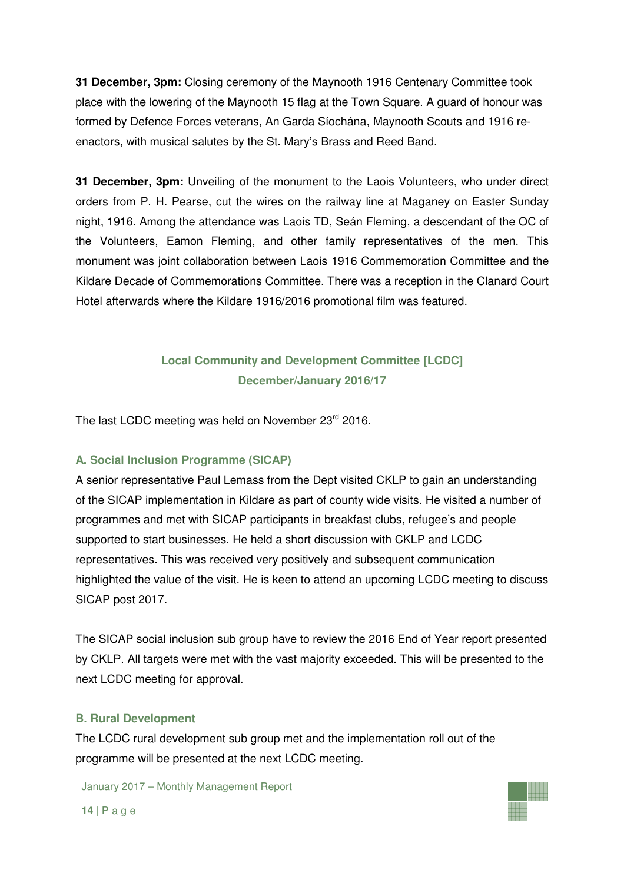**31 December, 3pm:** Closing ceremony of the Maynooth 1916 Centenary Committee took place with the lowering of the Maynooth 15 flag at the Town Square. A guard of honour was formed by Defence Forces veterans, An Garda Síochána, Maynooth Scouts and 1916 reenactors, with musical salutes by the St. Mary's Brass and Reed Band.

**31 December, 3pm:** Unveiling of the monument to the Laois Volunteers, who under direct orders from P. H. Pearse, cut the wires on the railway line at Maganey on Easter Sunday night, 1916. Among the attendance was Laois TD, Seán Fleming, a descendant of the OC of the Volunteers, Eamon Fleming, and other family representatives of the men. This monument was joint collaboration between Laois 1916 Commemoration Committee and the Kildare Decade of Commemorations Committee. There was a reception in the Clanard Court Hotel afterwards where the Kildare 1916/2016 promotional film was featured.

## **Local Community and Development Committee [LCDC] December/January 2016/17**

The last LCDC meeting was held on November 23rd 2016.

#### **A. Social Inclusion Programme (SICAP)**

A senior representative Paul Lemass from the Dept visited CKLP to gain an understanding of the SICAP implementation in Kildare as part of county wide visits. He visited a number of programmes and met with SICAP participants in breakfast clubs, refugee's and people supported to start businesses. He held a short discussion with CKLP and LCDC representatives. This was received very positively and subsequent communication highlighted the value of the visit. He is keen to attend an upcoming LCDC meeting to discuss SICAP post 2017.

The SICAP social inclusion sub group have to review the 2016 End of Year report presented by CKLP. All targets were met with the vast majority exceeded. This will be presented to the next LCDC meeting for approval.

#### **B. Rural Development**

The LCDC rural development sub group met and the implementation roll out of the programme will be presented at the next LCDC meeting.

January 2017 – Monthly Management Report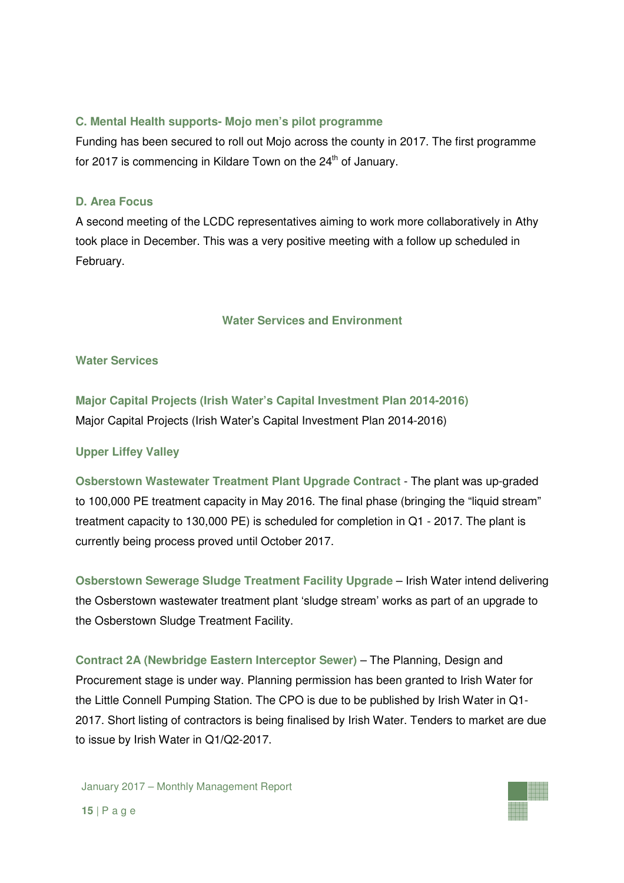## **C. Mental Health supports- Mojo men's pilot programme**

Funding has been secured to roll out Mojo across the county in 2017. The first programme for 2017 is commencing in Kildare Town on the  $24<sup>th</sup>$  of January.

### **D. Area Focus**

A second meeting of the LCDC representatives aiming to work more collaboratively in Athy took place in December. This was a very positive meeting with a follow up scheduled in February.

## **Water Services and Environment**

#### **Water Services**

**Major Capital Projects (Irish Water's Capital Investment Plan 2014-2016)**  Major Capital Projects (Irish Water's Capital Investment Plan 2014-2016)

## **Upper Liffey Valley**

**Osberstown Wastewater Treatment Plant Upgrade Contract** - The plant was up-graded to 100,000 PE treatment capacity in May 2016. The final phase (bringing the "liquid stream" treatment capacity to 130,000 PE) is scheduled for completion in Q1 - 2017. The plant is currently being process proved until October 2017.

**Osberstown Sewerage Sludge Treatment Facility Upgrade** – Irish Water intend delivering the Osberstown wastewater treatment plant 'sludge stream' works as part of an upgrade to the Osberstown Sludge Treatment Facility.

**Contract 2A (Newbridge Eastern Interceptor Sewer)** – The Planning, Design and Procurement stage is under way. Planning permission has been granted to Irish Water for the Little Connell Pumping Station. The CPO is due to be published by Irish Water in Q1- 2017. Short listing of contractors is being finalised by Irish Water. Tenders to market are due to issue by Irish Water in Q1**/**Q2-2017.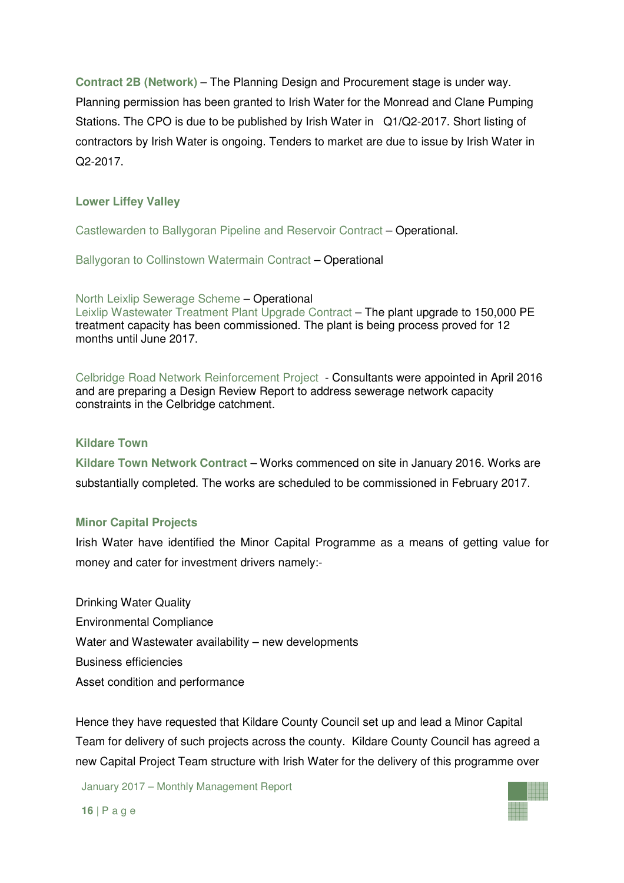**Contract 2B (Network)** – The Planning Design and Procurement stage is under way. Planning permission has been granted to Irish Water for the Monread and Clane Pumping Stations. The CPO is due to be published by Irish Water in Q1**/**Q2-2017. Short listing of contractors by Irish Water is ongoing. Tenders to market are due to issue by Irish Water in Q2-2017.

## **Lower Liffey Valley**

Castlewarden to Ballygoran Pipeline and Reservoir Contract – Operational.

Ballygoran to Collinstown Watermain Contract – Operational

North Leixlip Sewerage Scheme – Operational

Leixlip Wastewater Treatment Plant Upgrade Contract - The plant upgrade to 150,000 PE treatment capacity has been commissioned. The plant is being process proved for 12 months until June 2017.

Celbridge Road Network Reinforcement Project- Consultants were appointed in April 2016 and are preparing a Design Review Report to address sewerage network capacity constraints in the Celbridge catchment.

#### **Kildare Town**

**Kildare Town Network Contract** – Works commenced on site in January 2016. Works are substantially completed. The works are scheduled to be commissioned in February 2017.

#### **Minor Capital Projects**

Irish Water have identified the Minor Capital Programme as a means of getting value for money and cater for investment drivers namely:-

Drinking Water Quality Environmental Compliance Water and Wastewater availability – new developments Business efficiencies Asset condition and performance

Hence they have requested that Kildare County Council set up and lead a Minor Capital Team for delivery of such projects across the county. Kildare County Council has agreed a new Capital Project Team structure with Irish Water for the delivery of this programme over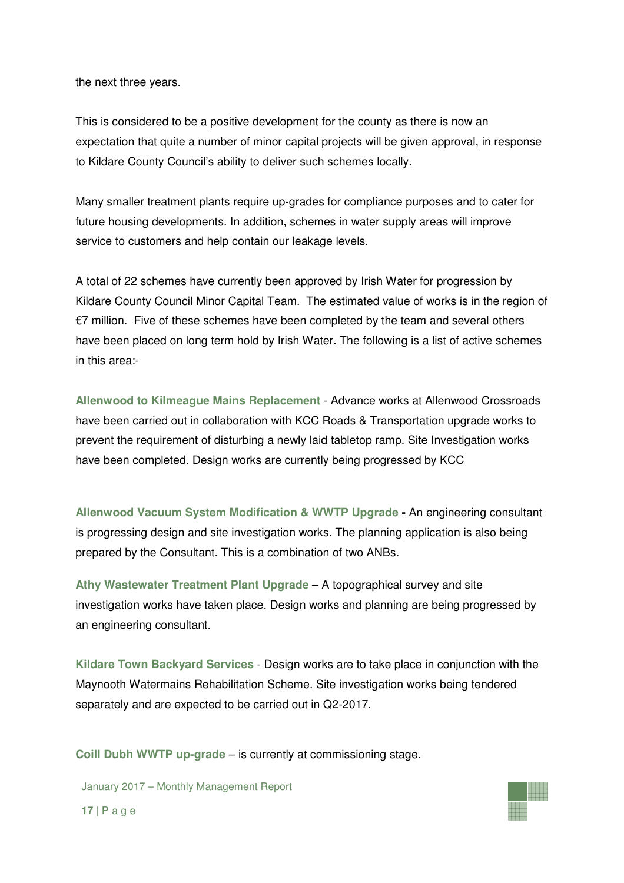the next three years.

This is considered to be a positive development for the county as there is now an expectation that quite a number of minor capital projects will be given approval, in response to Kildare County Council's ability to deliver such schemes locally.

Many smaller treatment plants require up-grades for compliance purposes and to cater for future housing developments. In addition, schemes in water supply areas will improve service to customers and help contain our leakage levels.

A total of 22 schemes have currently been approved by Irish Water for progression by Kildare County Council Minor Capital Team. The estimated value of works is in the region of €7 million. Five of these schemes have been completed by the team and several others have been placed on long term hold by Irish Water. The following is a list of active schemes in this area:-

**Allenwood to Kilmeague Mains Replacement** - Advance works at Allenwood Crossroads have been carried out in collaboration with KCC Roads & Transportation upgrade works to prevent the requirement of disturbing a newly laid tabletop ramp. Site Investigation works have been completed. Design works are currently being progressed by KCC

**Allenwood Vacuum System Modification & WWTP Upgrade -** An engineering consultant is progressing design and site investigation works. The planning application is also being prepared by the Consultant. This is a combination of two ANBs.

**Athy Wastewater Treatment Plant Upgrade** – A topographical survey and site investigation works have taken place. Design works and planning are being progressed by an engineering consultant.

**Kildare Town Backyard Services** - Design works are to take place in conjunction with the Maynooth Watermains Rehabilitation Scheme. Site investigation works being tendered separately and are expected to be carried out in Q2-2017.

**Coill Dubh WWTP up-grade** – is currently at commissioning stage.

January 2017 – Monthly Management Report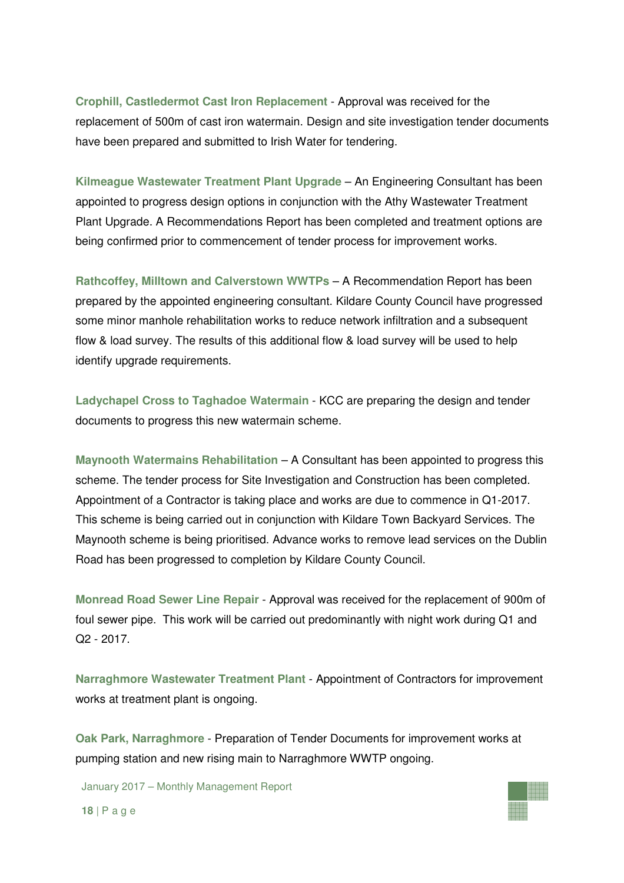**Crophill, Castledermot Cast Iron Replacement** - Approval was received for the replacement of 500m of cast iron watermain. Design and site investigation tender documents have been prepared and submitted to Irish Water for tendering.

**Kilmeague Wastewater Treatment Plant Upgrade** – An Engineering Consultant has been appointed to progress design options in conjunction with the Athy Wastewater Treatment Plant Upgrade. A Recommendations Report has been completed and treatment options are being confirmed prior to commencement of tender process for improvement works.

**Rathcoffey, Milltown and Calverstown WWTPs** – A Recommendation Report has been prepared by the appointed engineering consultant. Kildare County Council have progressed some minor manhole rehabilitation works to reduce network infiltration and a subsequent flow & load survey. The results of this additional flow & load survey will be used to help identify upgrade requirements.

**Ladychapel Cross to Taghadoe Watermain** - KCC are preparing the design and tender documents to progress this new watermain scheme.

**Maynooth Watermains Rehabilitation** – A Consultant has been appointed to progress this scheme. The tender process for Site Investigation and Construction has been completed. Appointment of a Contractor is taking place and works are due to commence in Q1-2017. This scheme is being carried out in conjunction with Kildare Town Backyard Services. The Maynooth scheme is being prioritised. Advance works to remove lead services on the Dublin Road has been progressed to completion by Kildare County Council.

**Monread Road Sewer Line Repair** - Approval was received for the replacement of 900m of foul sewer pipe. This work will be carried out predominantly with night work during Q1 and Q2 - 2017.

**Narraghmore Wastewater Treatment Plant** - Appointment of Contractors for improvement works at treatment plant is ongoing.

**Oak Park, Narraghmore** - Preparation of Tender Documents for improvement works at pumping station and new rising main to Narraghmore WWTP ongoing.

January 2017 – Monthly Management Report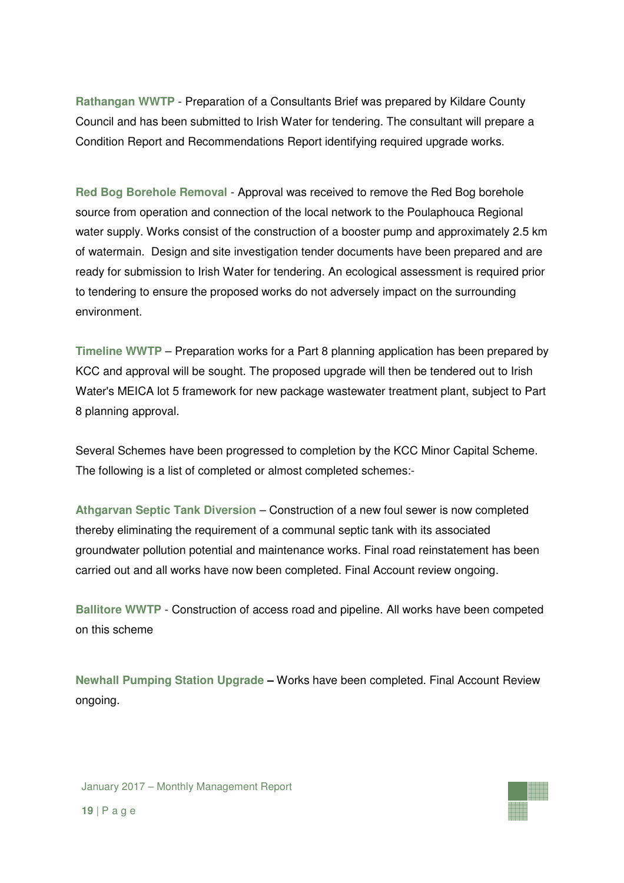**Rathangan WWTP** - Preparation of a Consultants Brief was prepared by Kildare County Council and has been submitted to Irish Water for tendering. The consultant will prepare a Condition Report and Recommendations Report identifying required upgrade works.

**Red Bog Borehole Removal** - Approval was received to remove the Red Bog borehole source from operation and connection of the local network to the Poulaphouca Regional water supply. Works consist of the construction of a booster pump and approximately 2.5 km of watermain. Design and site investigation tender documents have been prepared and are ready for submission to Irish Water for tendering. An ecological assessment is required prior to tendering to ensure the proposed works do not adversely impact on the surrounding environment.

**Timeline WWTP** – Preparation works for a Part 8 planning application has been prepared by KCC and approval will be sought. The proposed upgrade will then be tendered out to Irish Water's MEICA lot 5 framework for new package wastewater treatment plant, subject to Part 8 planning approval.

Several Schemes have been progressed to completion by the KCC Minor Capital Scheme. The following is a list of completed or almost completed schemes:-

**Athgarvan Septic Tank Diversion** – Construction of a new foul sewer is now completed thereby eliminating the requirement of a communal septic tank with its associated groundwater pollution potential and maintenance works. Final road reinstatement has been carried out and all works have now been completed. Final Account review ongoing.

**Ballitore WWTP** - Construction of access road and pipeline. All works have been competed on this scheme

**Newhall Pumping Station Upgrade –** Works have been completed. Final Account Review ongoing.

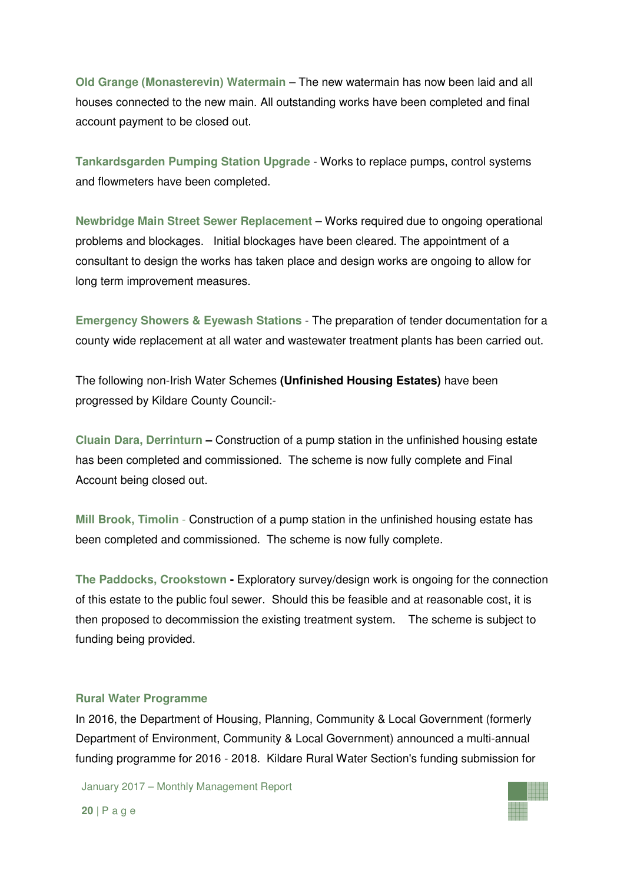**Old Grange (Monasterevin) Watermain** – The new watermain has now been laid and all houses connected to the new main. All outstanding works have been completed and final account payment to be closed out.

**Tankardsgarden Pumping Station Upgrade** - Works to replace pumps, control systems and flowmeters have been completed.

**Newbridge Main Street Sewer Replacement** – Works required due to ongoing operational problems and blockages. Initial blockages have been cleared. The appointment of a consultant to design the works has taken place and design works are ongoing to allow for long term improvement measures.

**Emergency Showers & Eyewash Stations** - The preparation of tender documentation for a county wide replacement at all water and wastewater treatment plants has been carried out.

The following non-Irish Water Schemes **(Unfinished Housing Estates)** have been progressed by Kildare County Council:-

**Cluain Dara, Derrinturn –** Construction of a pump station in the unfinished housing estate has been completed and commissioned. The scheme is now fully complete and Final Account being closed out.

**Mill Brook, Timolin** - Construction of a pump station in the unfinished housing estate has been completed and commissioned. The scheme is now fully complete.

**The Paddocks, Crookstown -** Exploratory survey/design work is ongoing for the connection of this estate to the public foul sewer. Should this be feasible and at reasonable cost, it is then proposed to decommission the existing treatment system. The scheme is subject to funding being provided.

#### **Rural Water Programme**

In 2016, the Department of Housing, Planning, Community & Local Government (formerly Department of Environment, Community & Local Government) announced a multi-annual funding programme for 2016 - 2018. Kildare Rural Water Section's funding submission for

January 2017 – Monthly Management Report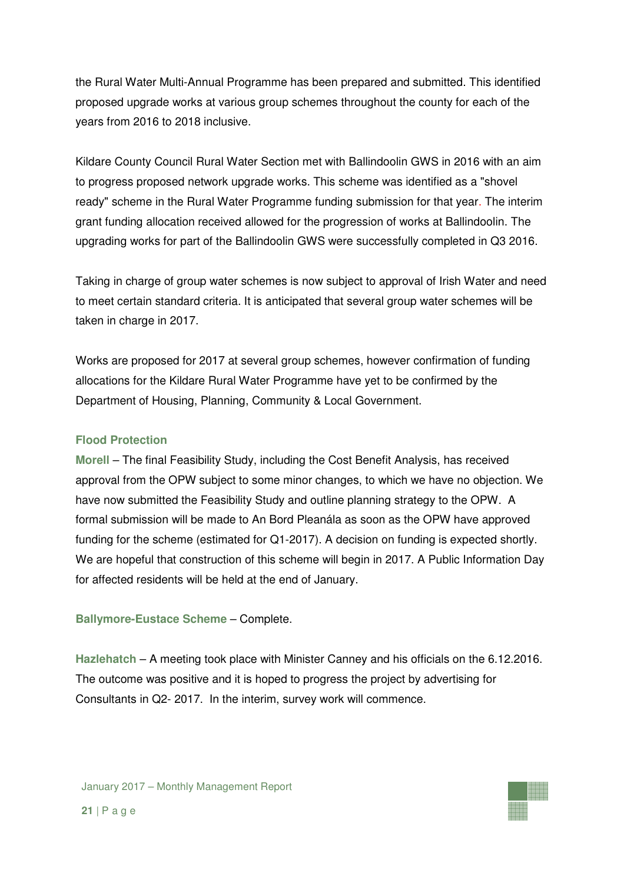the Rural Water Multi-Annual Programme has been prepared and submitted. This identified proposed upgrade works at various group schemes throughout the county for each of the years from 2016 to 2018 inclusive.

Kildare County Council Rural Water Section met with Ballindoolin GWS in 2016 with an aim to progress proposed network upgrade works. This scheme was identified as a "shovel ready" scheme in the Rural Water Programme funding submission for that year. The interim grant funding allocation received allowed for the progression of works at Ballindoolin. The upgrading works for part of the Ballindoolin GWS were successfully completed in Q3 2016.

Taking in charge of group water schemes is now subject to approval of Irish Water and need to meet certain standard criteria. It is anticipated that several group water schemes will be taken in charge in 2017.

Works are proposed for 2017 at several group schemes, however confirmation of funding allocations for the Kildare Rural Water Programme have yet to be confirmed by the Department of Housing, Planning, Community & Local Government.

### **Flood Protection**

**Morell** – The final Feasibility Study, including the Cost Benefit Analysis, has received approval from the OPW subject to some minor changes, to which we have no objection. We have now submitted the Feasibility Study and outline planning strategy to the OPW. A formal submission will be made to An Bord Pleanála as soon as the OPW have approved funding for the scheme (estimated for Q1-2017). A decision on funding is expected shortly. We are hopeful that construction of this scheme will begin in 2017. A Public Information Day for affected residents will be held at the end of January.

## **Ballymore-Eustace Scheme** – Complete.

**Hazlehatch** – A meeting took place with Minister Canney and his officials on the 6.12.2016. The outcome was positive and it is hoped to progress the project by advertising for Consultants in Q2- 2017. In the interim, survey work will commence.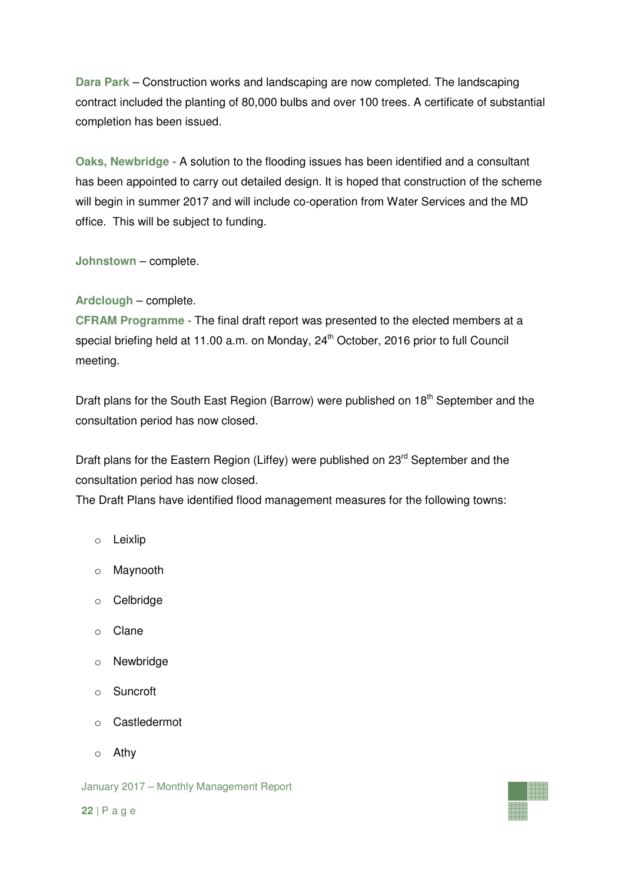**Dara Park** – Construction works and landscaping are now completed. The landscaping contract included the planting of 80,000 bulbs and over 100 trees. A certificate of substantial completion has been issued.

**Oaks, Newbridge** - A solution to the flooding issues has been identified and a consultant has been appointed to carry out detailed design. It is hoped that construction of the scheme will begin in summer 2017 and will include co-operation from Water Services and the MD office. This will be subject to funding.

**Johnstown** – complete.

## **Ardclough** – complete.

**CFRAM Programme** - The final draft report was presented to the elected members at a special briefing held at 11.00 a.m. on Monday, 24<sup>th</sup> October, 2016 prior to full Council meeting.

Draft plans for the South East Region (Barrow) were published on  $18<sup>th</sup>$  September and the consultation period has now closed.

Draft plans for the Eastern Region (Liffey) were published on  $23<sup>rd</sup>$  September and the consultation period has now closed.

The Draft Plans have identified flood management measures for the following towns:

- o Leixlip
- o Maynooth
- o Celbridge
- o Clane
- o Newbridge
- o Suncroft
- o Castledermot
- o Athy

January 2017 – Monthly Management Report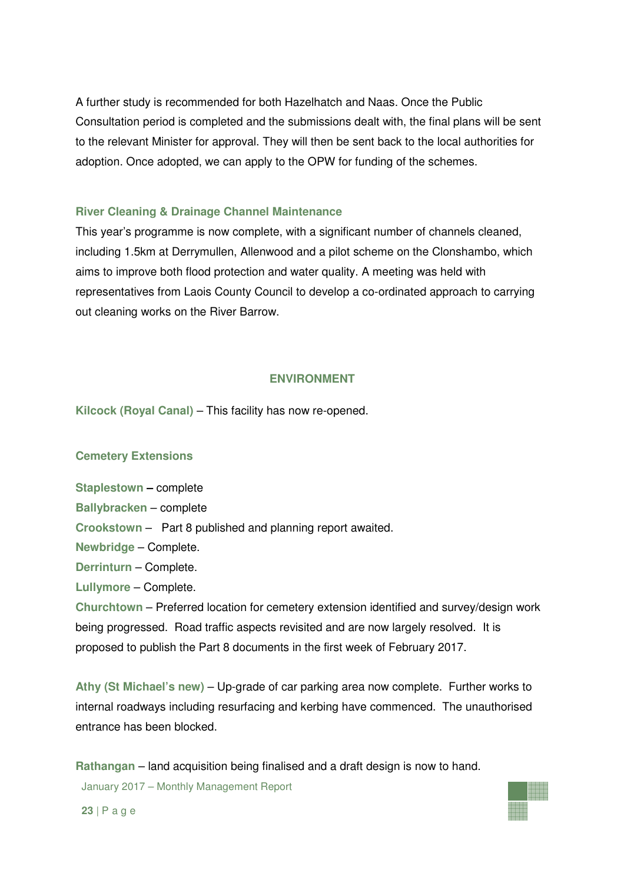A further study is recommended for both Hazelhatch and Naas. Once the Public Consultation period is completed and the submissions dealt with, the final plans will be sent to the relevant Minister for approval. They will then be sent back to the local authorities for adoption. Once adopted, we can apply to the OPW for funding of the schemes.

#### **River Cleaning & Drainage Channel Maintenance**

This year's programme is now complete, with a significant number of channels cleaned, including 1.5km at Derrymullen, Allenwood and a pilot scheme on the Clonshambo, which aims to improve both flood protection and water quality. A meeting was held with representatives from Laois County Council to develop a co-ordinated approach to carrying out cleaning works on the River Barrow.

#### **ENVIRONMENT**

**Kilcock (Royal Canal)** – This facility has now re-opened.

#### **Cemetery Extensions**

**Staplestown –** complete

**Ballybracken** – complete

**Crookstown** – Part 8 published and planning report awaited.

**Newbridge** – Complete.

**Derrinturn** – Complete.

**Lullymore** – Complete.

**Churchtown** – Preferred location for cemetery extension identified and survey/design work being progressed. Road traffic aspects revisited and are now largely resolved. It is proposed to publish the Part 8 documents in the first week of February 2017.

**Athy (St Michael's new)** – Up-grade of car parking area now complete. Further works to internal roadways including resurfacing and kerbing have commenced. The unauthorised entrance has been blocked.

January 2017 – Monthly Management Report **Rathangan** – land acquisition being finalised and a draft design is now to hand.

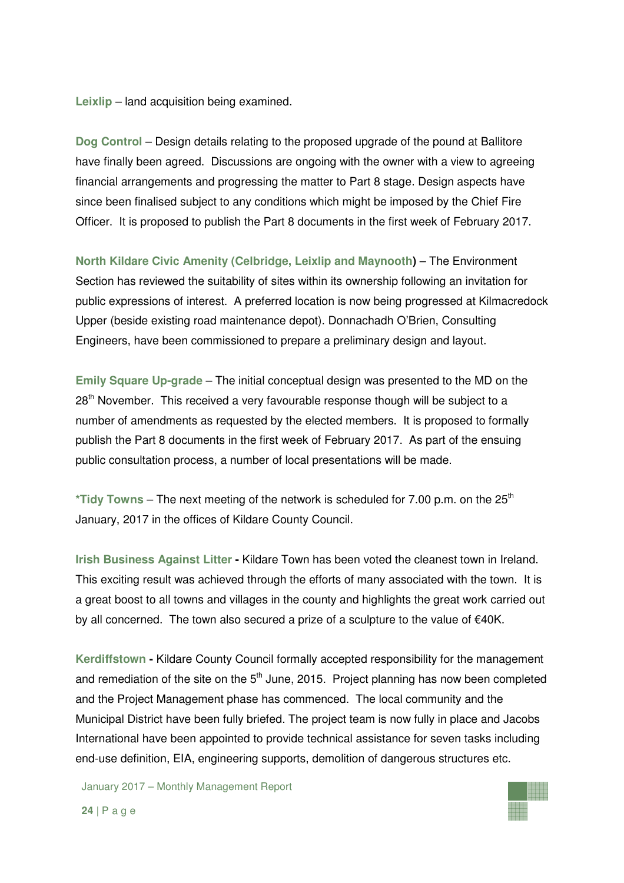**Leixlip** – land acquisition being examined.

**Dog Control** – Design details relating to the proposed upgrade of the pound at Ballitore have finally been agreed. Discussions are ongoing with the owner with a view to agreeing financial arrangements and progressing the matter to Part 8 stage. Design aspects have since been finalised subject to any conditions which might be imposed by the Chief Fire Officer. It is proposed to publish the Part 8 documents in the first week of February 2017.

**North Kildare Civic Amenity (Celbridge, Leixlip and Maynooth)** – The Environment Section has reviewed the suitability of sites within its ownership following an invitation for public expressions of interest. A preferred location is now being progressed at Kilmacredock Upper (beside existing road maintenance depot). Donnachadh O'Brien, Consulting Engineers, have been commissioned to prepare a preliminary design and layout.

**Emily Square Up-grade** – The initial conceptual design was presented to the MD on the  $28<sup>th</sup>$  November. This received a very favourable response though will be subject to a number of amendments as requested by the elected members. It is proposed to formally publish the Part 8 documents in the first week of February 2017. As part of the ensuing public consultation process, a number of local presentations will be made.

\*Tidy Towns – The next meeting of the network is scheduled for 7.00 p.m. on the 25<sup>th</sup> January, 2017 in the offices of Kildare County Council.

**Irish Business Against Litter -** Kildare Town has been voted the cleanest town in Ireland. This exciting result was achieved through the efforts of many associated with the town. It is a great boost to all towns and villages in the county and highlights the great work carried out by all concerned. The town also secured a prize of a sculpture to the value of €40K.

**Kerdiffstown -** Kildare County Council formally accepted responsibility for the management and remediation of the site on the  $5<sup>th</sup>$  June, 2015. Project planning has now been completed and the Project Management phase has commenced. The local community and the Municipal District have been fully briefed. The project team is now fully in place and Jacobs International have been appointed to provide technical assistance for seven tasks including end-use definition, EIA, engineering supports, demolition of dangerous structures etc.

January 2017 – Monthly Management Report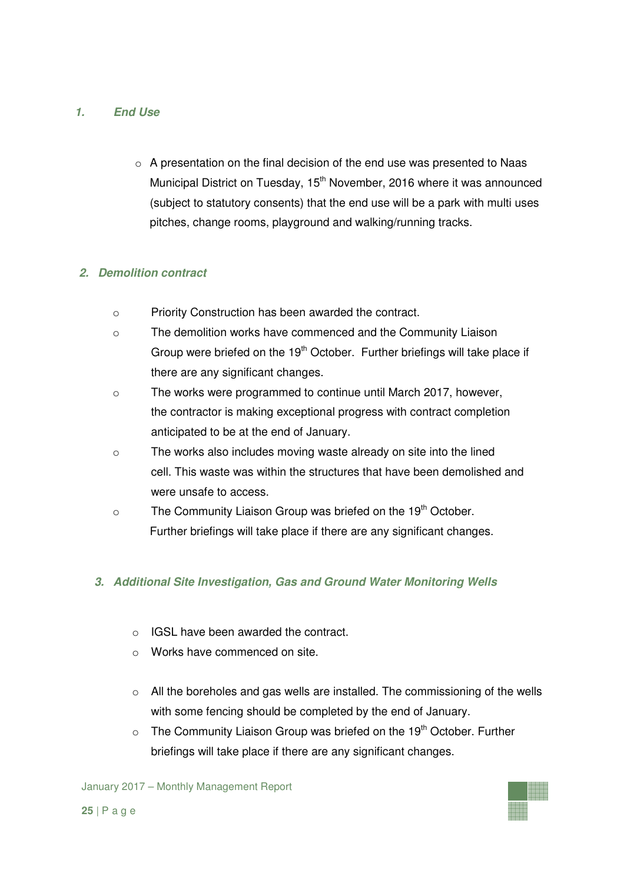## **1. End Use**

o A presentation on the final decision of the end use was presented to Naas Municipal District on Tuesday, 15<sup>th</sup> November, 2016 where it was announced (subject to statutory consents) that the end use will be a park with multi uses pitches, change rooms, playground and walking/running tracks.

## **2. Demolition contract**

- o Priority Construction has been awarded the contract.
- $\circ$  The demolition works have commenced and the Community Liaison Group were briefed on the 19<sup>th</sup> October. Further briefings will take place if there are any significant changes.
- o The works were programmed to continue until March 2017, however, the contractor is making exceptional progress with contract completion anticipated to be at the end of January.
- o The works also includes moving waste already on site into the lined cell. This waste was within the structures that have been demolished and were unsafe to access.
- $\circ$  The Community Liaison Group was briefed on the 19<sup>th</sup> October. Further briefings will take place if there are any significant changes.

## **3. Additional Site Investigation, Gas and Ground Water Monitoring Wells**

- o IGSL have been awarded the contract.
- o Works have commenced on site.
- $\circ$  All the boreholes and gas wells are installed. The commissioning of the wells with some fencing should be completed by the end of January.
- $\circ$  The Community Liaison Group was briefed on the 19<sup>th</sup> October. Further briefings will take place if there are any significant changes.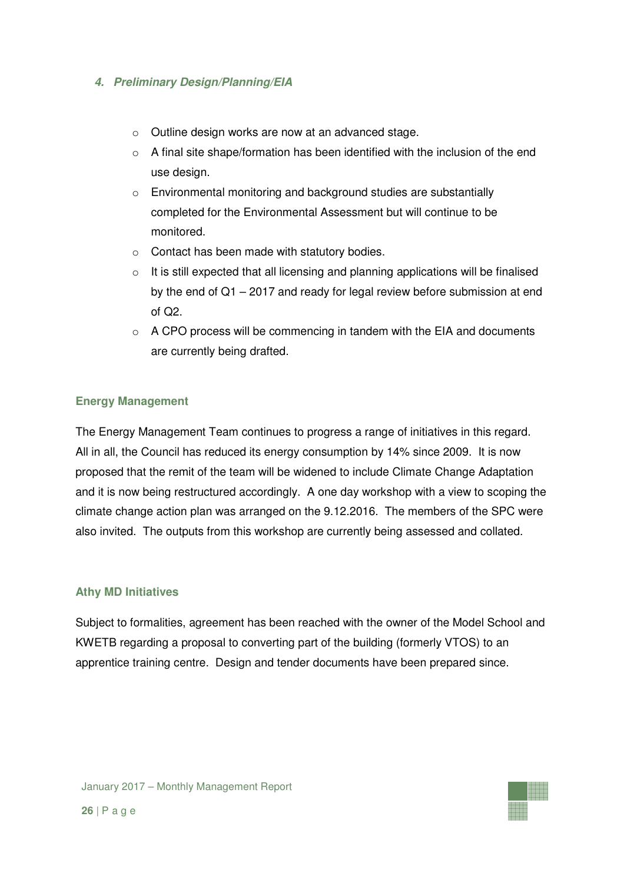## **4. Preliminary Design/Planning/EIA**

- o Outline design works are now at an advanced stage.
- $\circ$  A final site shape/formation has been identified with the inclusion of the end use design.
- o Environmental monitoring and background studies are substantially completed for the Environmental Assessment but will continue to be monitored.
- o Contact has been made with statutory bodies.
- $\circ$  It is still expected that all licensing and planning applications will be finalised by the end of Q1 – 2017 and ready for legal review before submission at end of Q2.
- $\circ$  A CPO process will be commencing in tandem with the EIA and documents are currently being drafted.

## **Energy Management**

The Energy Management Team continues to progress a range of initiatives in this regard. All in all, the Council has reduced its energy consumption by 14% since 2009. It is now proposed that the remit of the team will be widened to include Climate Change Adaptation and it is now being restructured accordingly. A one day workshop with a view to scoping the climate change action plan was arranged on the 9.12.2016. The members of the SPC were also invited. The outputs from this workshop are currently being assessed and collated.

#### **Athy MD Initiatives**

Subject to formalities, agreement has been reached with the owner of the Model School and KWETB regarding a proposal to converting part of the building (formerly VTOS) to an apprentice training centre. Design and tender documents have been prepared since.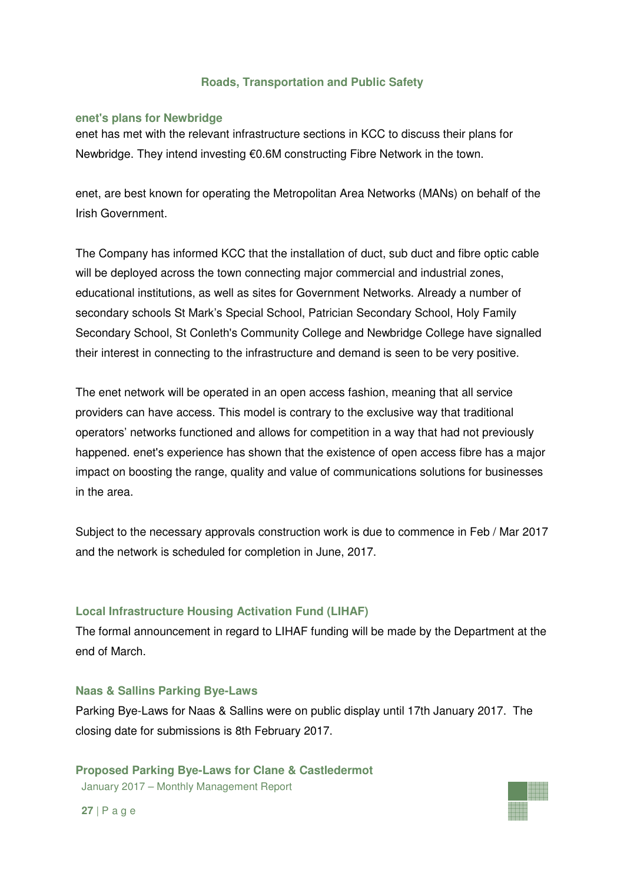## **Roads, Transportation and Public Safety**

#### **enet's plans for Newbridge**

enet has met with the relevant infrastructure sections in KCC to discuss their plans for Newbridge. They intend investing €0.6M constructing Fibre Network in the town.

enet, are best known for operating the Metropolitan Area Networks (MANs) on behalf of the Irish Government.

The Company has informed KCC that the installation of duct, sub duct and fibre optic cable will be deployed across the town connecting major commercial and industrial zones, educational institutions, as well as sites for Government Networks. Already a number of secondary schools St Mark's Special School, Patrician Secondary School, Holy Family Secondary School, St Conleth's Community College and Newbridge College have signalled their interest in connecting to the infrastructure and demand is seen to be very positive.

The enet network will be operated in an open access fashion, meaning that all service providers can have access. This model is contrary to the exclusive way that traditional operators' networks functioned and allows for competition in a way that had not previously happened. enet's experience has shown that the existence of open access fibre has a major impact on boosting the range, quality and value of communications solutions for businesses in the area.

Subject to the necessary approvals construction work is due to commence in Feb / Mar 2017 and the network is scheduled for completion in June, 2017.

#### **Local Infrastructure Housing Activation Fund (LIHAF)**

The formal announcement in regard to LIHAF funding will be made by the Department at the end of March.

#### **Naas & Sallins Parking Bye-Laws**

Parking Bye-Laws for Naas & Sallins were on public display until 17th January 2017. The closing date for submissions is 8th February 2017.

January 2017 – Monthly Management Report **Proposed Parking Bye-Laws for Clane & Castledermot** 

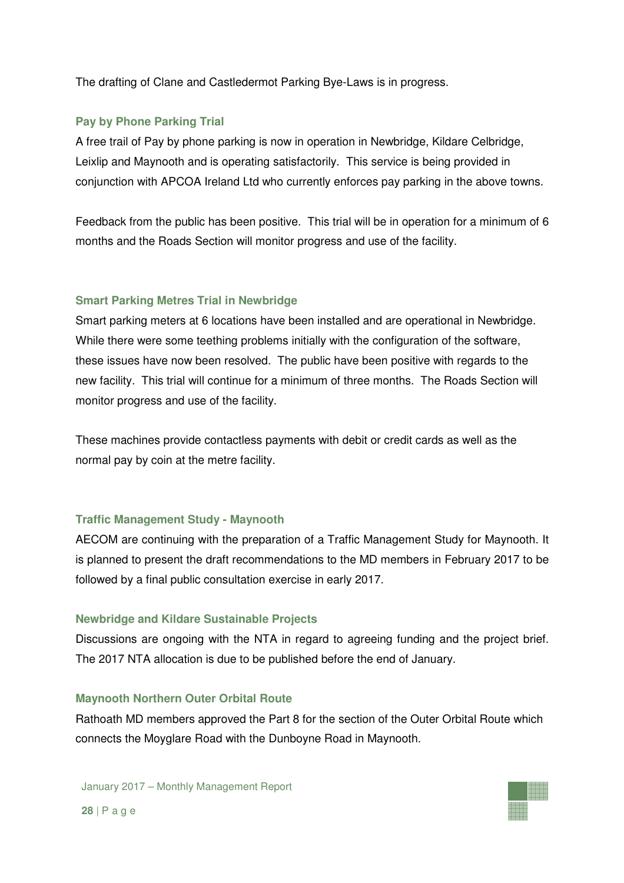The drafting of Clane and Castledermot Parking Bye-Laws is in progress.

## **Pay by Phone Parking Trial**

A free trail of Pay by phone parking is now in operation in Newbridge, Kildare Celbridge, Leixlip and Maynooth and is operating satisfactorily. This service is being provided in conjunction with APCOA Ireland Ltd who currently enforces pay parking in the above towns.

Feedback from the public has been positive. This trial will be in operation for a minimum of 6 months and the Roads Section will monitor progress and use of the facility.

## **Smart Parking Metres Trial in Newbridge**

Smart parking meters at 6 locations have been installed and are operational in Newbridge. While there were some teething problems initially with the configuration of the software, these issues have now been resolved. The public have been positive with regards to the new facility. This trial will continue for a minimum of three months. The Roads Section will monitor progress and use of the facility.

These machines provide contactless payments with debit or credit cards as well as the normal pay by coin at the metre facility.

## **Traffic Management Study - Maynooth**

AECOM are continuing with the preparation of a Traffic Management Study for Maynooth. It is planned to present the draft recommendations to the MD members in February 2017 to be followed by a final public consultation exercise in early 2017.

## **Newbridge and Kildare Sustainable Projects**

Discussions are ongoing with the NTA in regard to agreeing funding and the project brief. The 2017 NTA allocation is due to be published before the end of January.

#### **Maynooth Northern Outer Orbital Route**

Rathoath MD members approved the Part 8 for the section of the Outer Orbital Route which connects the Moyglare Road with the Dunboyne Road in Maynooth.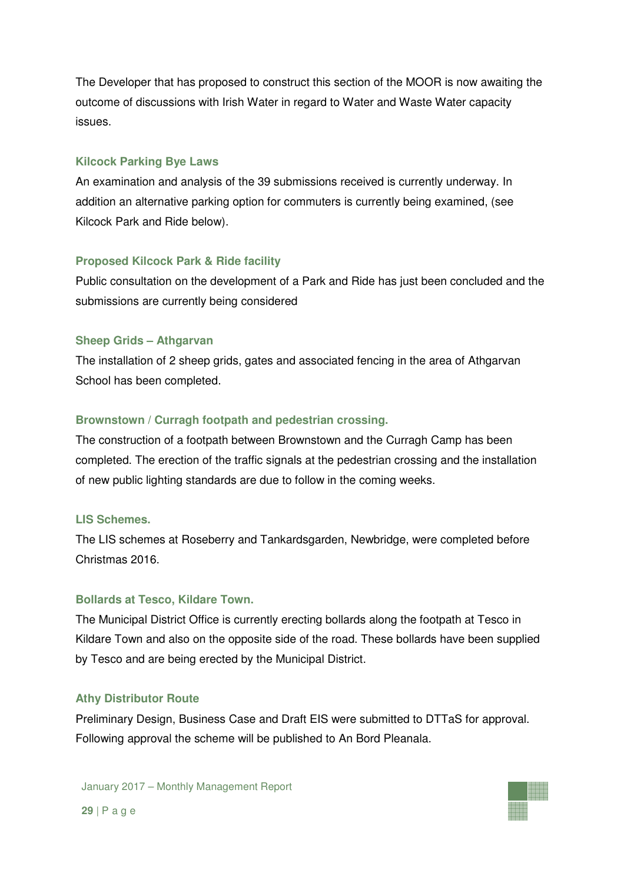The Developer that has proposed to construct this section of the MOOR is now awaiting the outcome of discussions with Irish Water in regard to Water and Waste Water capacity issues.

#### **Kilcock Parking Bye Laws**

An examination and analysis of the 39 submissions received is currently underway. In addition an alternative parking option for commuters is currently being examined, (see Kilcock Park and Ride below).

## **Proposed Kilcock Park & Ride facility**

Public consultation on the development of a Park and Ride has just been concluded and the submissions are currently being considered

## **Sheep Grids – Athgarvan**

The installation of 2 sheep grids, gates and associated fencing in the area of Athgarvan School has been completed.

## **Brownstown / Curragh footpath and pedestrian crossing.**

The construction of a footpath between Brownstown and the Curragh Camp has been completed. The erection of the traffic signals at the pedestrian crossing and the installation of new public lighting standards are due to follow in the coming weeks.

#### **LIS Schemes.**

The LIS schemes at Roseberry and Tankardsgarden, Newbridge, were completed before Christmas 2016.

#### **Bollards at Tesco, Kildare Town.**

The Municipal District Office is currently erecting bollards along the footpath at Tesco in Kildare Town and also on the opposite side of the road. These bollards have been supplied by Tesco and are being erected by the Municipal District.

#### **Athy Distributor Route**

Preliminary Design, Business Case and Draft EIS were submitted to DTTaS for approval. Following approval the scheme will be published to An Bord Pleanala.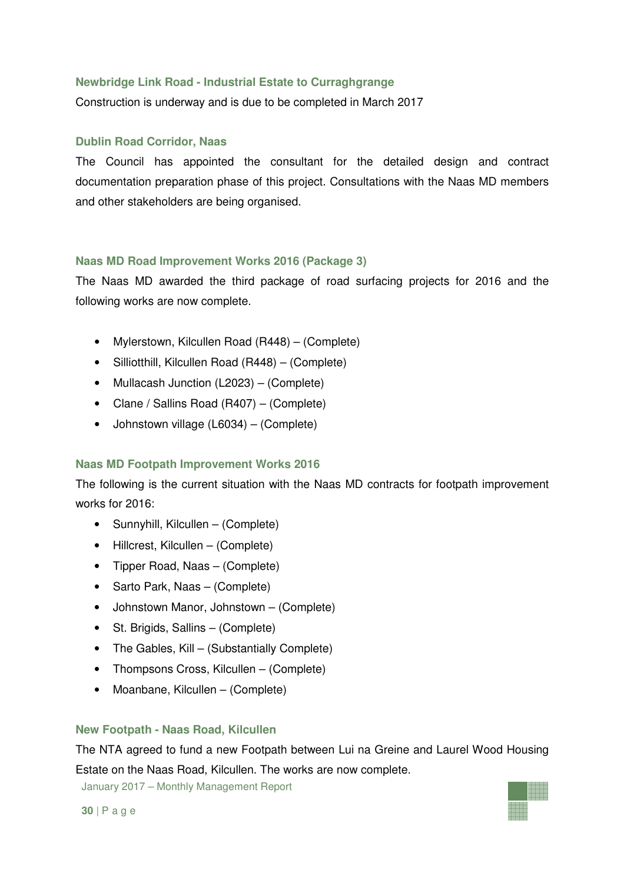## **Newbridge Link Road - Industrial Estate to Curraghgrange**

Construction is underway and is due to be completed in March 2017

## **Dublin Road Corridor, Naas**

The Council has appointed the consultant for the detailed design and contract documentation preparation phase of this project. Consultations with the Naas MD members and other stakeholders are being organised.

## **Naas MD Road Improvement Works 2016 (Package 3)**

The Naas MD awarded the third package of road surfacing projects for 2016 and the following works are now complete.

- Mylerstown, Kilcullen Road (R448) (Complete)
- Silliotthill, Kilcullen Road (R448) (Complete)
- Mullacash Junction (L2023) (Complete)
- Clane / Sallins Road (R407) (Complete)
- Johnstown village (L6034) (Complete)

## **Naas MD Footpath Improvement Works 2016**

The following is the current situation with the Naas MD contracts for footpath improvement works for 2016:

- Sunnyhill, Kilcullen (Complete)
- Hillcrest, Kilcullen (Complete)
- Tipper Road, Naas (Complete)
- Sarto Park, Naas (Complete)
- Johnstown Manor, Johnstown (Complete)
- St. Brigids, Sallins (Complete)
- The Gables, Kill (Substantially Complete)
- Thompsons Cross, Kilcullen (Complete)
- Moanbane, Kilcullen (Complete)

#### **New Footpath - Naas Road, Kilcullen**

The NTA agreed to fund a new Footpath between Lui na Greine and Laurel Wood Housing Estate on the Naas Road, Kilcullen. The works are now complete.

January 2017 – Monthly Management Report

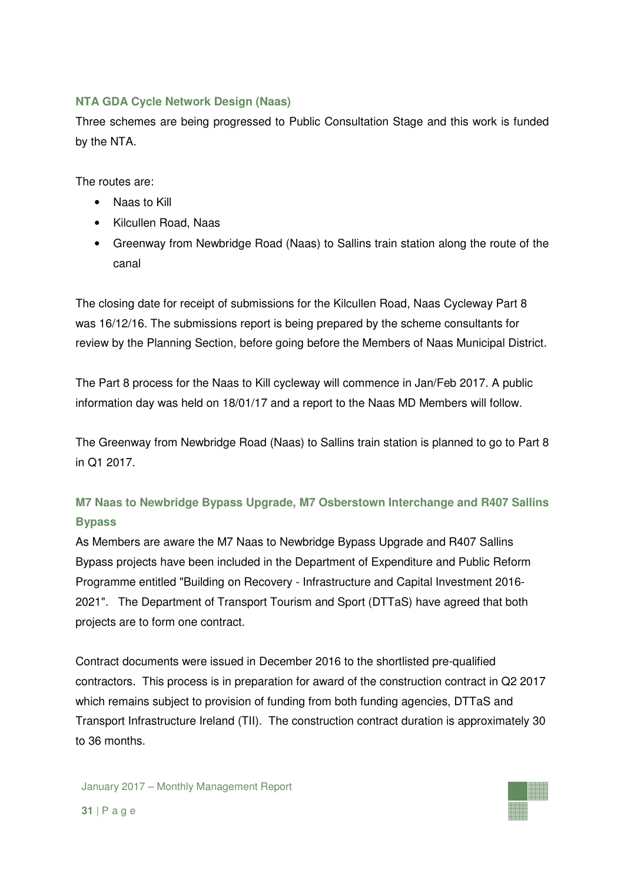## **NTA GDA Cycle Network Design (Naas)**

Three schemes are being progressed to Public Consultation Stage and this work is funded by the NTA.

The routes are:

- Naas to Kill
- Kilcullen Road, Naas
- Greenway from Newbridge Road (Naas) to Sallins train station along the route of the canal

The closing date for receipt of submissions for the Kilcullen Road, Naas Cycleway Part 8 was 16/12/16. The submissions report is being prepared by the scheme consultants for review by the Planning Section, before going before the Members of Naas Municipal District.

The Part 8 process for the Naas to Kill cycleway will commence in Jan/Feb 2017. A public information day was held on 18/01/17 and a report to the Naas MD Members will follow.

The Greenway from Newbridge Road (Naas) to Sallins train station is planned to go to Part 8 in Q1 2017.

## **M7 Naas to Newbridge Bypass Upgrade, M7 Osberstown Interchange and R407 Sallins Bypass**

As Members are aware the M7 Naas to Newbridge Bypass Upgrade and R407 Sallins Bypass projects have been included in the Department of Expenditure and Public Reform Programme entitled "Building on Recovery - Infrastructure and Capital Investment 2016- 2021". The Department of Transport Tourism and Sport (DTTaS) have agreed that both projects are to form one contract.

Contract documents were issued in December 2016 to the shortlisted pre-qualified contractors. This process is in preparation for award of the construction contract in Q2 2017 which remains subject to provision of funding from both funding agencies, DTTaS and Transport Infrastructure Ireland (TII). The construction contract duration is approximately 30 to 36 months.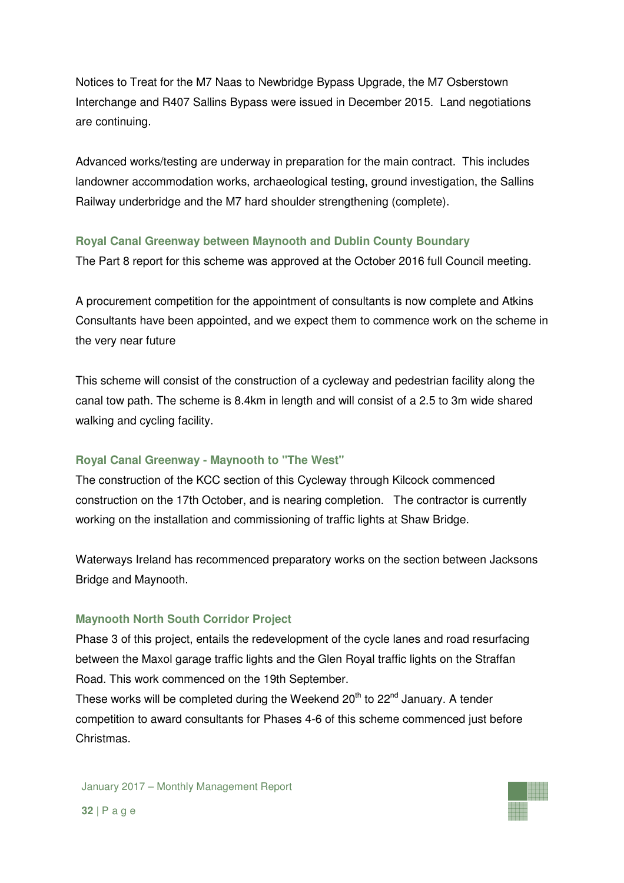Notices to Treat for the M7 Naas to Newbridge Bypass Upgrade, the M7 Osberstown Interchange and R407 Sallins Bypass were issued in December 2015. Land negotiations are continuing.

Advanced works/testing are underway in preparation for the main contract. This includes landowner accommodation works, archaeological testing, ground investigation, the Sallins Railway underbridge and the M7 hard shoulder strengthening (complete).

## **Royal Canal Greenway between Maynooth and Dublin County Boundary**

The Part 8 report for this scheme was approved at the October 2016 full Council meeting.

A procurement competition for the appointment of consultants is now complete and Atkins Consultants have been appointed, and we expect them to commence work on the scheme in the very near future

This scheme will consist of the construction of a cycleway and pedestrian facility along the canal tow path. The scheme is 8.4km in length and will consist of a 2.5 to 3m wide shared walking and cycling facility.

## **Royal Canal Greenway - Maynooth to "The West"**

The construction of the KCC section of this Cycleway through Kilcock commenced construction on the 17th October, and is nearing completion. The contractor is currently working on the installation and commissioning of traffic lights at Shaw Bridge.

Waterways Ireland has recommenced preparatory works on the section between Jacksons Bridge and Maynooth.

## **Maynooth North South Corridor Project**

Phase 3 of this project, entails the redevelopment of the cycle lanes and road resurfacing between the Maxol garage traffic lights and the Glen Royal traffic lights on the Straffan Road. This work commenced on the 19th September.

These works will be completed during the Weekend  $20<sup>th</sup>$  to  $22<sup>nd</sup>$  January. A tender competition to award consultants for Phases 4-6 of this scheme commenced just before Christmas.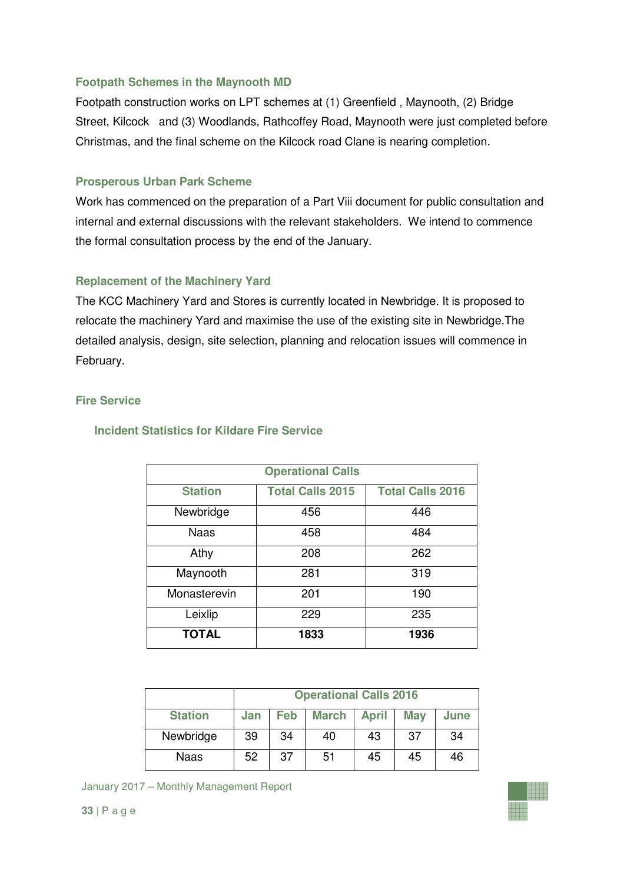## **Footpath Schemes in the Maynooth MD**

Footpath construction works on LPT schemes at (1) Greenfield , Maynooth, (2) Bridge Street, Kilcock and (3) Woodlands, Rathcoffey Road, Maynooth were just completed before Christmas, and the final scheme on the Kilcock road Clane is nearing completion.

#### **Prosperous Urban Park Scheme**

Work has commenced on the preparation of a Part Viii document for public consultation and internal and external discussions with the relevant stakeholders. We intend to commence the formal consultation process by the end of the January.

## **Replacement of the Machinery Yard**

The KCC Machinery Yard and Stores is currently located in Newbridge. It is proposed to relocate the machinery Yard and maximise the use of the existing site in Newbridge.The detailed analysis, design, site selection, planning and relocation issues will commence in February.

#### **Fire Service**

| <b>Operational Calls</b> |                         |                         |  |  |
|--------------------------|-------------------------|-------------------------|--|--|
| <b>Station</b>           | <b>Total Calls 2015</b> | <b>Total Calls 2016</b> |  |  |
| Newbridge                | 456                     | 446                     |  |  |
| <b>Naas</b>              | 458                     | 484                     |  |  |
| Athy                     | 208                     | 262                     |  |  |
| Maynooth                 | 281                     | 319                     |  |  |
| Monasterevin             | 201                     | 190                     |  |  |
| Leixlip                  | 229                     | 235                     |  |  |
| <b>TOTAL</b>             | 1833                    | 1936                    |  |  |

#### **Incident Statistics for Kildare Fire Service**

|                | <b>Operational Calls 2016</b> |     |              |              |            |      |
|----------------|-------------------------------|-----|--------------|--------------|------------|------|
| <b>Station</b> | Jan                           | Feb | <b>March</b> | <b>April</b> | <b>May</b> | June |
| Newbridge      | 39                            | 34  | 40           | 43           | 37         | 34   |
| Naas           | 52                            | 37  | 51           | 45           | 45         | 46   |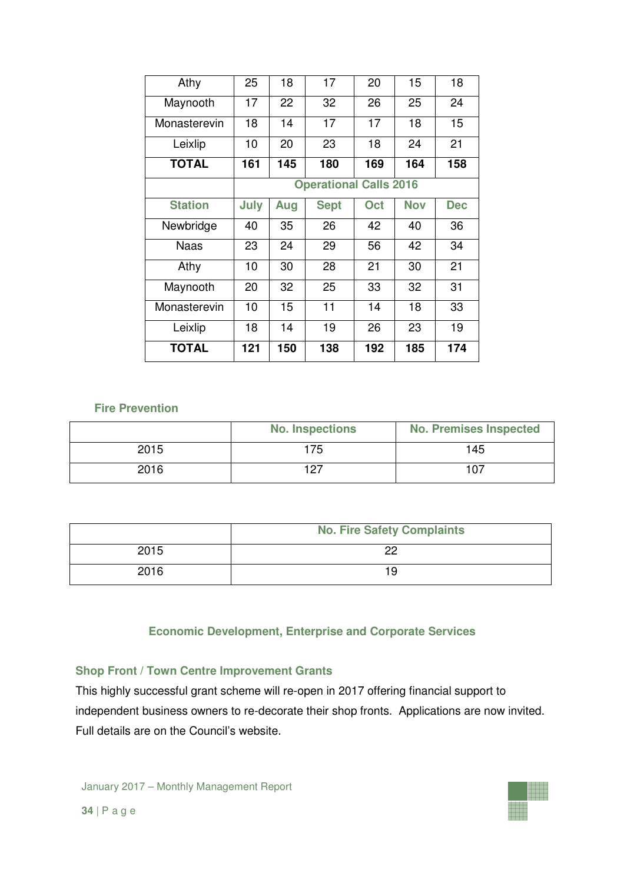| Athy           | 25   | 18  | 17                            | 20  | 15         | 18         |
|----------------|------|-----|-------------------------------|-----|------------|------------|
| Maynooth       | 17   | 22  | 32                            | 26  | 25         | 24         |
| Monasterevin   | 18   | 14  | 17                            | 17  | 18         | 15         |
| Leixlip        | 10   | 20  | 23                            | 18  | 24         | 21         |
| <b>TOTAL</b>   | 161  | 145 | 180                           | 169 | 164        | 158        |
|                |      |     | <b>Operational Calls 2016</b> |     |            |            |
| <b>Station</b> | July | Aug | <b>Sept</b>                   | Oct | <b>Nov</b> | <b>Dec</b> |
| Newbridge      | 40   | 35  | 26                            | 42  | 40         | 36         |
| <b>Naas</b>    | 23   | 24  | 29                            | 56  | 42         | 34         |
| Athy           | 10   | 30  | 28                            | 21  | 30         | 21         |
| Maynooth       | 20   | 32  | 25                            | 33  | 32         | 31         |
| Monasterevin   | 10   | 15  | 11                            | 14  | 18         | 33         |
| Leixlip        | 18   | 14  | 19                            | 26  | 23         | 19         |
| <b>TOTAL</b>   | 121  | 150 | 138                           | 192 | 185        | 174        |

## **Fire Prevention**

|      | <b>No. Inspections</b> | <b>No. Premises Inspected</b> |
|------|------------------------|-------------------------------|
| 2015 | 175                    | 145                           |
| 2016 | 107                    | 107                           |

|      | <b>No. Fire Safety Complaints</b> |  |  |
|------|-----------------------------------|--|--|
| 2015 | nn                                |  |  |
| 2016 | 19                                |  |  |

#### **Economic Development, Enterprise and Corporate Services**

## **Shop Front / Town Centre Improvement Grants**

This highly successful grant scheme will re-open in 2017 offering financial support to independent business owners to re-decorate their shop fronts. Applications are now invited. Full details are on the Council's website.